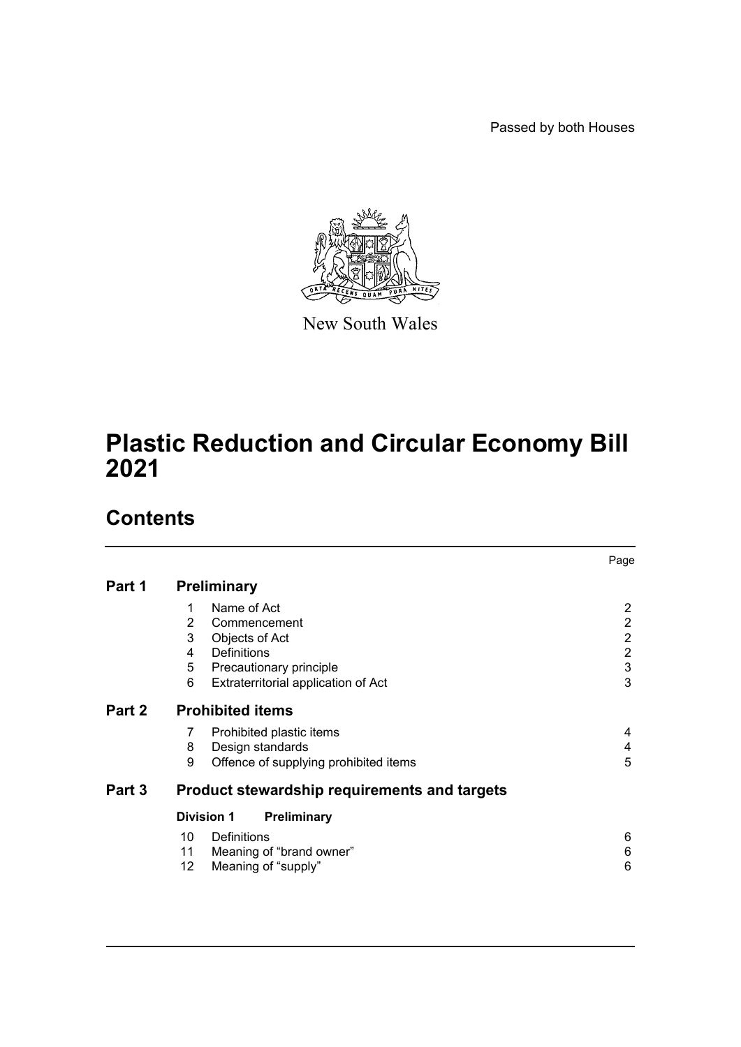Passed by both Houses



New South Wales

# **Plastic Reduction and Circular Economy Bill 2021**

# **Contents**

|        |                                                     |                                       | Page                      |  |
|--------|-----------------------------------------------------|---------------------------------------|---------------------------|--|
| Part 1 | <b>Preliminary</b>                                  |                                       |                           |  |
|        | 1                                                   | Name of Act                           | $\overline{2}$            |  |
|        | 2                                                   | Commencement                          | $\overline{2}$            |  |
|        | 3                                                   | Objects of Act                        | $\overline{2}$            |  |
|        | 4                                                   | <b>Definitions</b>                    | $\overline{2}$            |  |
|        | 5                                                   | Precautionary principle               | $\ensuremath{\mathsf{3}}$ |  |
|        | 6                                                   | Extraterritorial application of Act   | 3                         |  |
| Part 2 | <b>Prohibited items</b>                             |                                       |                           |  |
|        | 7                                                   | Prohibited plastic items              | 4                         |  |
|        | 8                                                   | Design standards                      | 4                         |  |
|        | 9                                                   | Offence of supplying prohibited items | 5                         |  |
| Part 3 | <b>Product stewardship requirements and targets</b> |                                       |                           |  |
|        | <b>Division 1</b><br><b>Preliminary</b>             |                                       |                           |  |
|        | 10                                                  | Definitions                           | 6                         |  |
|        | 11                                                  | Meaning of "brand owner"              | 6                         |  |
|        | 12                                                  | Meaning of "supply"                   | 6                         |  |
|        |                                                     |                                       |                           |  |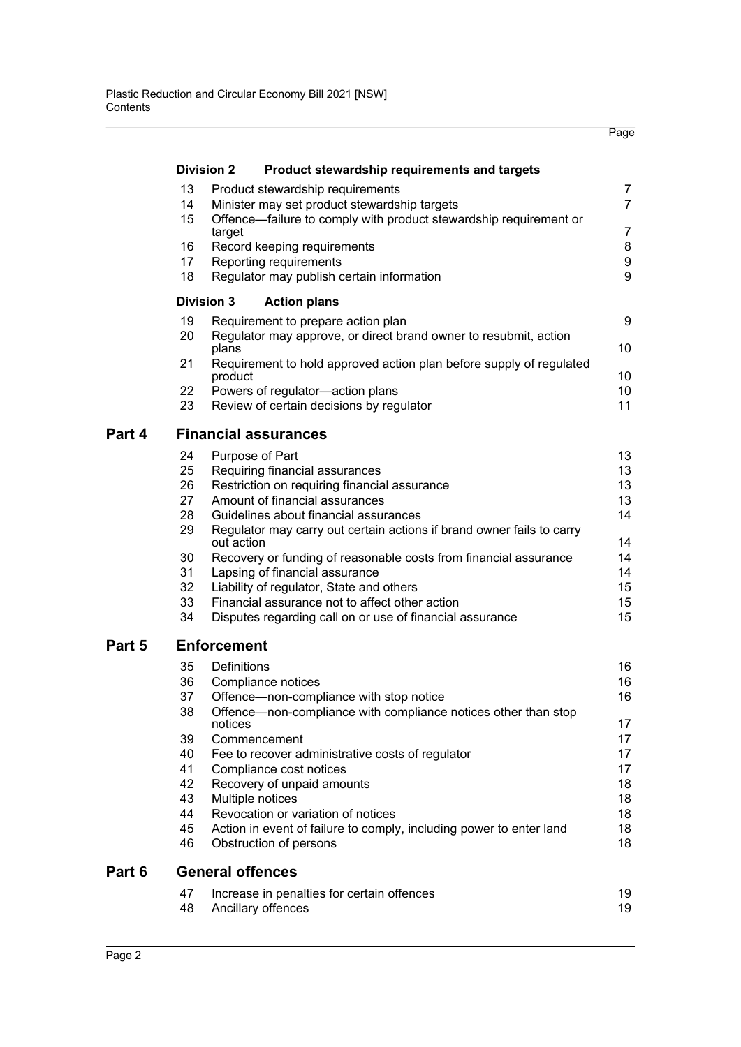|        |                             |                                                                                     | Page                  |  |  |  |
|--------|-----------------------------|-------------------------------------------------------------------------------------|-----------------------|--|--|--|
|        |                             | <b>Division 2</b><br>Product stewardship requirements and targets                   |                       |  |  |  |
|        | 13                          | Product stewardship requirements                                                    | $\overline{7}$        |  |  |  |
|        | 14                          | Minister may set product stewardship targets                                        | $\overline{7}$        |  |  |  |
|        | 15                          | Offence-failure to comply with product stewardship requirement or                   |                       |  |  |  |
|        |                             | target                                                                              | $\overline{7}$        |  |  |  |
|        | 16                          | Record keeping requirements                                                         | 8                     |  |  |  |
|        | 17                          | Reporting requirements                                                              | 9                     |  |  |  |
|        | 18                          | Regulator may publish certain information                                           | 9                     |  |  |  |
|        |                             | <b>Division 3</b><br><b>Action plans</b>                                            |                       |  |  |  |
|        | 19                          | Requirement to prepare action plan                                                  | 9                     |  |  |  |
|        | 20                          | Regulator may approve, or direct brand owner to resubmit, action<br>plans           | 10                    |  |  |  |
|        | 21                          | Requirement to hold approved action plan before supply of regulated                 |                       |  |  |  |
|        | 22                          | product<br>Powers of regulator-action plans                                         | 10<br>10 <sup>°</sup> |  |  |  |
|        | 23                          | Review of certain decisions by regulator                                            | 11                    |  |  |  |
|        |                             |                                                                                     |                       |  |  |  |
| Part 4 | <b>Financial assurances</b> |                                                                                     |                       |  |  |  |
|        | 24                          | Purpose of Part                                                                     | 13                    |  |  |  |
|        | 25                          | Requiring financial assurances                                                      | 13                    |  |  |  |
|        | 26                          | Restriction on requiring financial assurance                                        | 13                    |  |  |  |
|        | 27                          | Amount of financial assurances                                                      | 13                    |  |  |  |
|        | 28                          | Guidelines about financial assurances                                               | 14                    |  |  |  |
|        | 29                          | Regulator may carry out certain actions if brand owner fails to carry<br>out action | 14                    |  |  |  |
|        | 30                          | Recovery or funding of reasonable costs from financial assurance                    | 14                    |  |  |  |
|        | 31                          | Lapsing of financial assurance                                                      | 14                    |  |  |  |
|        | 32                          | Liability of regulator, State and others                                            | 15                    |  |  |  |
|        | 33                          | Financial assurance not to affect other action                                      | 15                    |  |  |  |
|        | 34                          | Disputes regarding call on or use of financial assurance                            | 15                    |  |  |  |
| Part 5 |                             | <b>Enforcement</b>                                                                  |                       |  |  |  |
|        | 35                          | Definitions                                                                         | 16                    |  |  |  |
|        | 36                          | Compliance notices                                                                  | 16                    |  |  |  |
|        | 37                          | Offence-non-compliance with stop notice                                             | 16                    |  |  |  |
|        | 38                          | Offence-non-compliance with compliance notices other than stop<br>notices           | 17                    |  |  |  |
|        | 39                          | Commencement                                                                        | 17                    |  |  |  |
|        | 40                          | Fee to recover administrative costs of regulator                                    | 17                    |  |  |  |
|        | 41                          | Compliance cost notices                                                             | 17                    |  |  |  |
|        | 42                          | Recovery of unpaid amounts                                                          | 18                    |  |  |  |
|        | 43                          | Multiple notices                                                                    | 18                    |  |  |  |
|        | 44                          | Revocation or variation of notices                                                  | 18                    |  |  |  |
|        | 45                          | Action in event of failure to comply, including power to enter land                 | 18                    |  |  |  |
|        | 46                          | Obstruction of persons                                                              | 18                    |  |  |  |
| Part 6 | <b>General offences</b>     |                                                                                     |                       |  |  |  |
|        | 47                          | Increase in penalties for certain offences                                          | 19                    |  |  |  |
|        | 48                          | Ancillary offences                                                                  | 19                    |  |  |  |
|        |                             |                                                                                     |                       |  |  |  |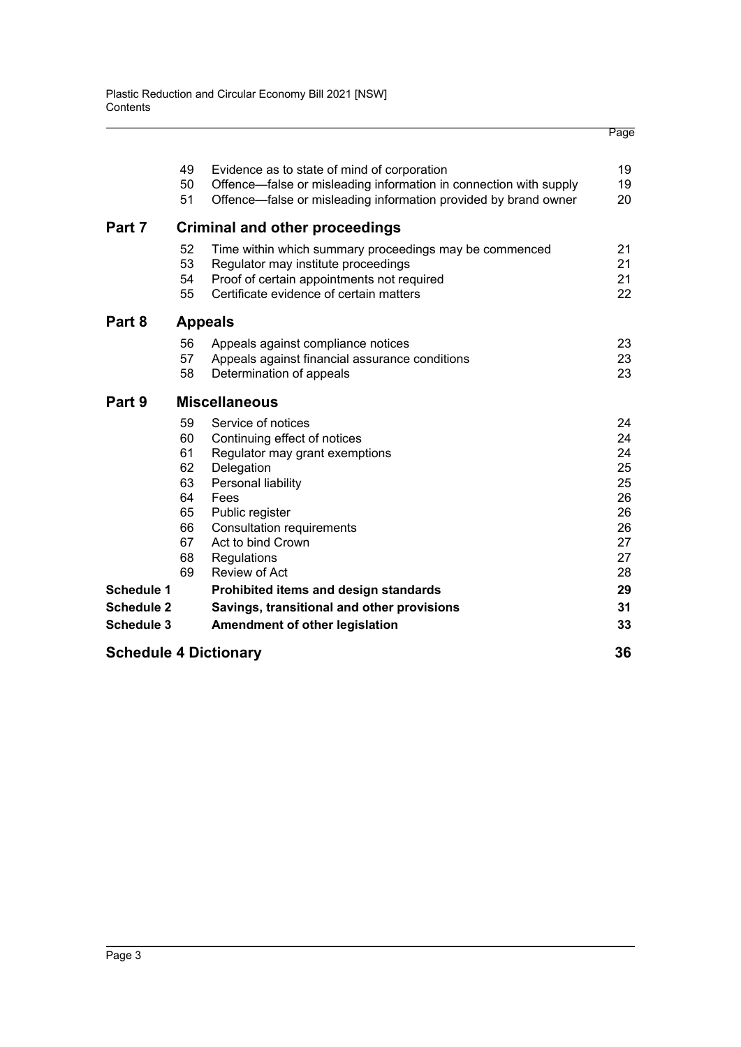|                                        | 49                                                             | Evidence as to state of mind of corporation                                                                                                                                                                                                  | 19                                                             |  |  |
|----------------------------------------|----------------------------------------------------------------|----------------------------------------------------------------------------------------------------------------------------------------------------------------------------------------------------------------------------------------------|----------------------------------------------------------------|--|--|
|                                        | 50<br>51                                                       | Offence—false or misleading information in connection with supply<br>Offence-false or misleading information provided by brand owner                                                                                                         | 19<br>20                                                       |  |  |
| Part 7                                 | <b>Criminal and other proceedings</b>                          |                                                                                                                                                                                                                                              |                                                                |  |  |
|                                        | 52<br>53<br>54<br>55                                           | Time within which summary proceedings may be commenced<br>Regulator may institute proceedings<br>Proof of certain appointments not required<br>Certificate evidence of certain matters                                                       | 21<br>21<br>21<br>22                                           |  |  |
| Part 8                                 |                                                                | <b>Appeals</b>                                                                                                                                                                                                                               |                                                                |  |  |
|                                        | 56<br>57<br>58                                                 | Appeals against compliance notices<br>Appeals against financial assurance conditions<br>Determination of appeals                                                                                                                             | 23<br>23<br>23                                                 |  |  |
| Part 9                                 |                                                                | <b>Miscellaneous</b>                                                                                                                                                                                                                         |                                                                |  |  |
|                                        | 59<br>60<br>61<br>62<br>63<br>64<br>65<br>66<br>67<br>68<br>69 | Service of notices<br>Continuing effect of notices<br>Regulator may grant exemptions<br>Delegation<br>Personal liability<br>Fees<br>Public register<br><b>Consultation requirements</b><br>Act to bind Crown<br>Regulations<br>Review of Act | 24<br>24<br>24<br>25<br>25<br>26<br>26<br>26<br>27<br>27<br>28 |  |  |
| <b>Schedule 1</b>                      |                                                                | Prohibited items and design standards                                                                                                                                                                                                        | 29                                                             |  |  |
| <b>Schedule 2</b><br><b>Schedule 3</b> |                                                                | Savings, transitional and other provisions<br>Amendment of other legislation                                                                                                                                                                 | 31<br>33                                                       |  |  |
| <b>Schedule 4 Dictionary</b>           |                                                                |                                                                                                                                                                                                                                              |                                                                |  |  |

Page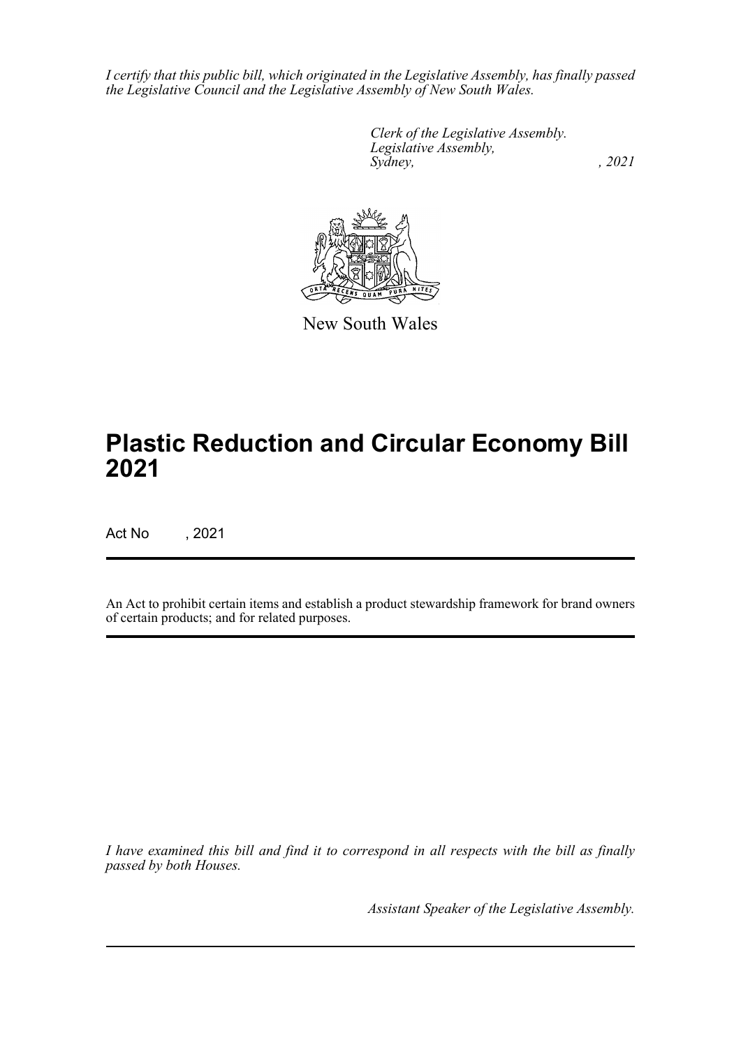*I certify that this public bill, which originated in the Legislative Assembly, has finally passed the Legislative Council and the Legislative Assembly of New South Wales.*

> *Clerk of the Legislative Assembly. Legislative Assembly, Sydney, , 2021*



New South Wales

# **Plastic Reduction and Circular Economy Bill 2021**

Act No , 2021

An Act to prohibit certain items and establish a product stewardship framework for brand owners of certain products; and for related purposes.

*I have examined this bill and find it to correspond in all respects with the bill as finally passed by both Houses.*

*Assistant Speaker of the Legislative Assembly.*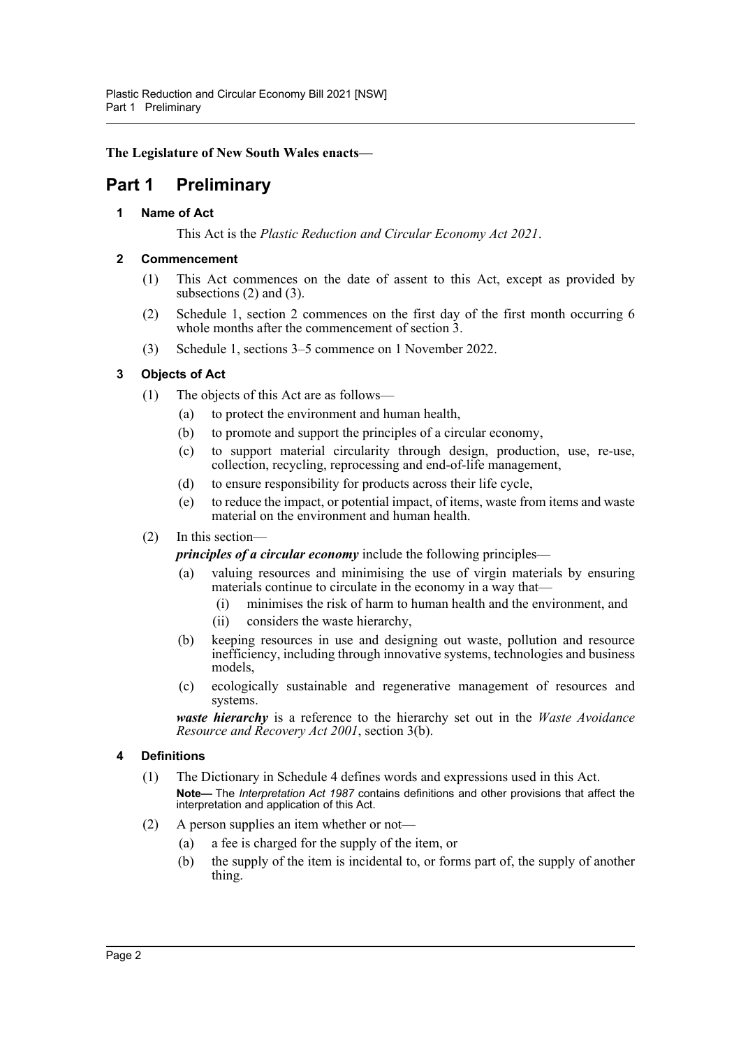## **The Legislature of New South Wales enacts—**

## <span id="page-4-1"></span><span id="page-4-0"></span>**Part 1 Preliminary**

## **1 Name of Act**

This Act is the *Plastic Reduction and Circular Economy Act 2021*.

#### <span id="page-4-2"></span>**2 Commencement**

- (1) This Act commences on the date of assent to this Act, except as provided by subsections (2) and (3).
- (2) Schedule 1, section 2 commences on the first day of the first month occurring 6 whole months after the commencement of section  $\overline{3}$ .
- (3) Schedule 1, sections 3–5 commence on 1 November 2022.

## <span id="page-4-3"></span>**3 Objects of Act**

- (1) The objects of this Act are as follows—
	- (a) to protect the environment and human health,
	- (b) to promote and support the principles of a circular economy,
	- (c) to support material circularity through design, production, use, re-use, collection, recycling, reprocessing and end-of-life management,
	- (d) to ensure responsibility for products across their life cycle,
	- (e) to reduce the impact, or potential impact, of items, waste from items and waste material on the environment and human health.
- (2) In this section—

*principles of a circular economy* include the following principles—

- (a) valuing resources and minimising the use of virgin materials by ensuring materials continue to circulate in the economy in a way that—
	- (i) minimises the risk of harm to human health and the environment, and
	- (ii) considers the waste hierarchy,
- (b) keeping resources in use and designing out waste, pollution and resource inefficiency, including through innovative systems, technologies and business models,
- (c) ecologically sustainable and regenerative management of resources and systems.

*waste hierarchy* is a reference to the hierarchy set out in the *Waste Avoidance Resource and Recovery Act 2001*, section 3(b).

#### <span id="page-4-4"></span>**4 Definitions**

- (1) The Dictionary in Schedule 4 defines words and expressions used in this Act. **Note—** The *Interpretation Act 1987* contains definitions and other provisions that affect the interpretation and application of this Act.
- (2) A person supplies an item whether or not—
	- (a) a fee is charged for the supply of the item, or
	- (b) the supply of the item is incidental to, or forms part of, the supply of another thing.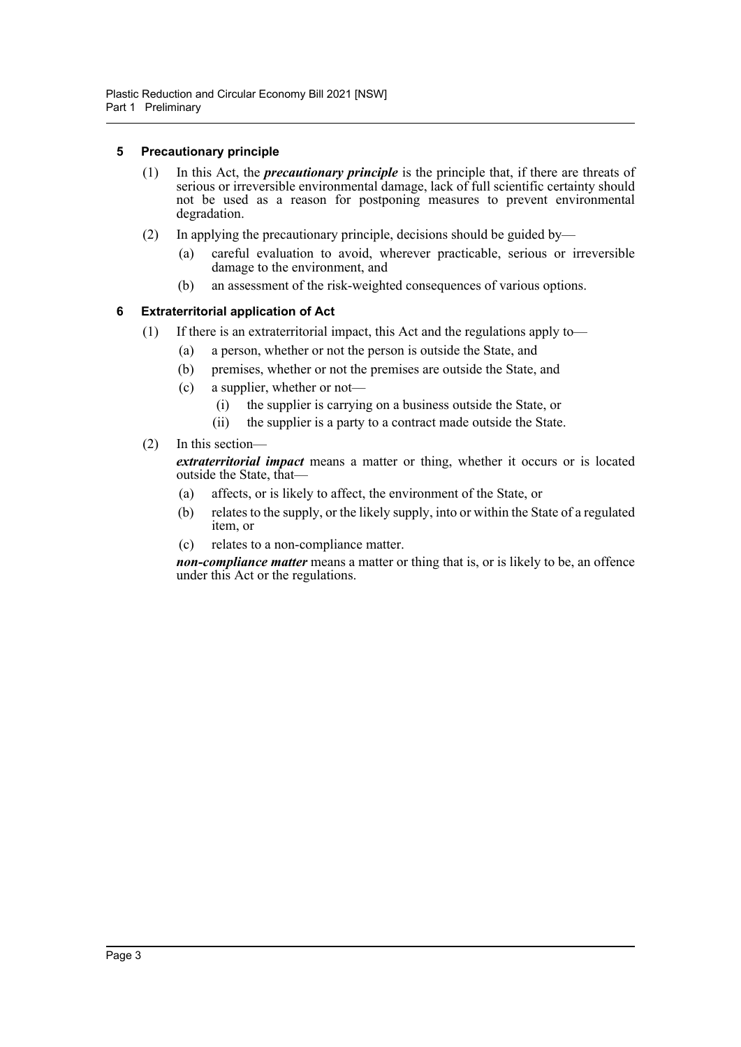#### <span id="page-5-0"></span>**5 Precautionary principle**

- (1) In this Act, the *precautionary principle* is the principle that, if there are threats of serious or irreversible environmental damage, lack of full scientific certainty should not be used as a reason for postponing measures to prevent environmental degradation.
- (2) In applying the precautionary principle, decisions should be guided by—
	- (a) careful evaluation to avoid, wherever practicable, serious or irreversible damage to the environment, and
	- (b) an assessment of the risk-weighted consequences of various options.

## <span id="page-5-1"></span>**6 Extraterritorial application of Act**

- (1) If there is an extraterritorial impact, this Act and the regulations apply to—
	- (a) a person, whether or not the person is outside the State, and
	- (b) premises, whether or not the premises are outside the State, and
	- (c) a supplier, whether or not—
		- (i) the supplier is carrying on a business outside the State, or
		- (ii) the supplier is a party to a contract made outside the State.

## (2) In this section—

*extraterritorial impact* means a matter or thing, whether it occurs or is located outside the State, that—

- (a) affects, or is likely to affect, the environment of the State, or
- (b) relates to the supply, or the likely supply, into or within the State of a regulated item, or
- (c) relates to a non-compliance matter.

*non-compliance matter* means a matter or thing that is, or is likely to be, an offence under this Act or the regulations.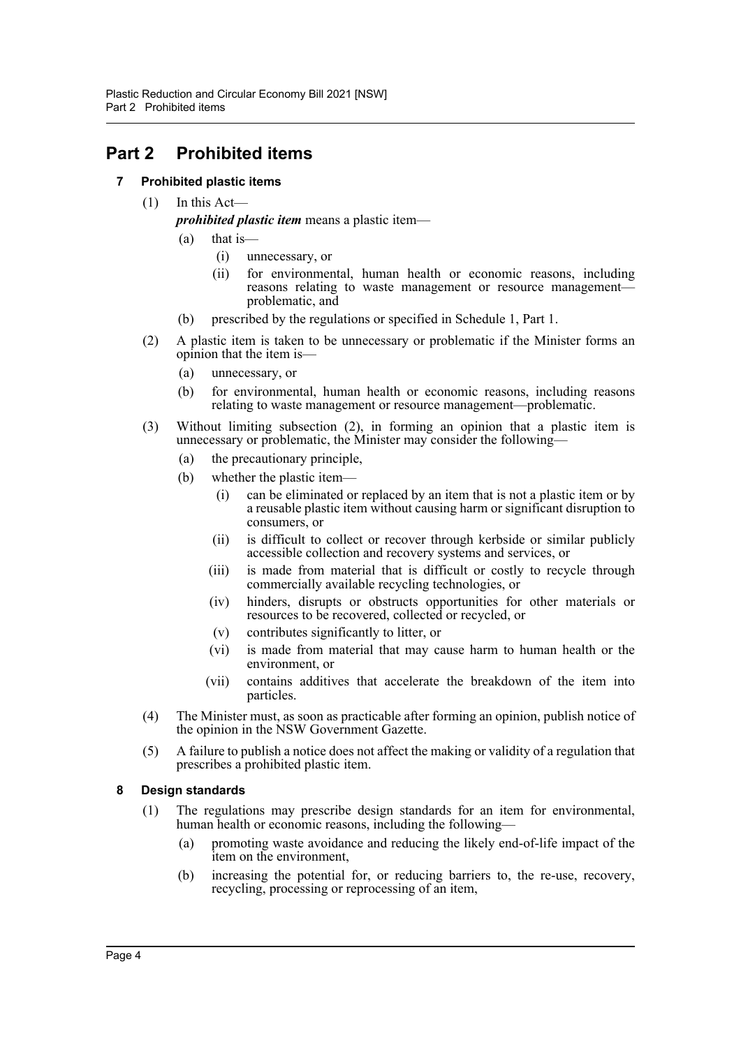## <span id="page-6-1"></span><span id="page-6-0"></span>**Part 2 Prohibited items**

## **7 Prohibited plastic items**

 $(1)$  In this Act—

*prohibited plastic item* means a plastic item—

- (a) that is—
	- (i) unnecessary, or
	- (ii) for environmental, human health or economic reasons, including reasons relating to waste management or resource management problematic, and
- (b) prescribed by the regulations or specified in Schedule 1, Part 1.
- (2) A plastic item is taken to be unnecessary or problematic if the Minister forms an opinion that the item is—
	- (a) unnecessary, or
	- (b) for environmental, human health or economic reasons, including reasons relating to waste management or resource management—problematic.
- (3) Without limiting subsection (2), in forming an opinion that a plastic item is unnecessary or problematic, the Minister may consider the following—
	- (a) the precautionary principle,
	- (b) whether the plastic item—
		- (i) can be eliminated or replaced by an item that is not a plastic item or by a reusable plastic item without causing harm or significant disruption to consumers, or
		- (ii) is difficult to collect or recover through kerbside or similar publicly accessible collection and recovery systems and services, or
		- (iii) is made from material that is difficult or costly to recycle through commercially available recycling technologies, or
		- (iv) hinders, disrupts or obstructs opportunities for other materials or resources to be recovered, collected or recycled, or
		- (v) contributes significantly to litter, or
		- (vi) is made from material that may cause harm to human health or the environment, or
		- (vii) contains additives that accelerate the breakdown of the item into particles.
- (4) The Minister must, as soon as practicable after forming an opinion, publish notice of the opinion in the NSW Government Gazette.
- (5) A failure to publish a notice does not affect the making or validity of a regulation that prescribes a prohibited plastic item.

#### <span id="page-6-2"></span>**8 Design standards**

- (1) The regulations may prescribe design standards for an item for environmental, human health or economic reasons, including the following—
	- (a) promoting waste avoidance and reducing the likely end-of-life impact of the item on the environment,
	- (b) increasing the potential for, or reducing barriers to, the re-use, recovery, recycling, processing or reprocessing of an item,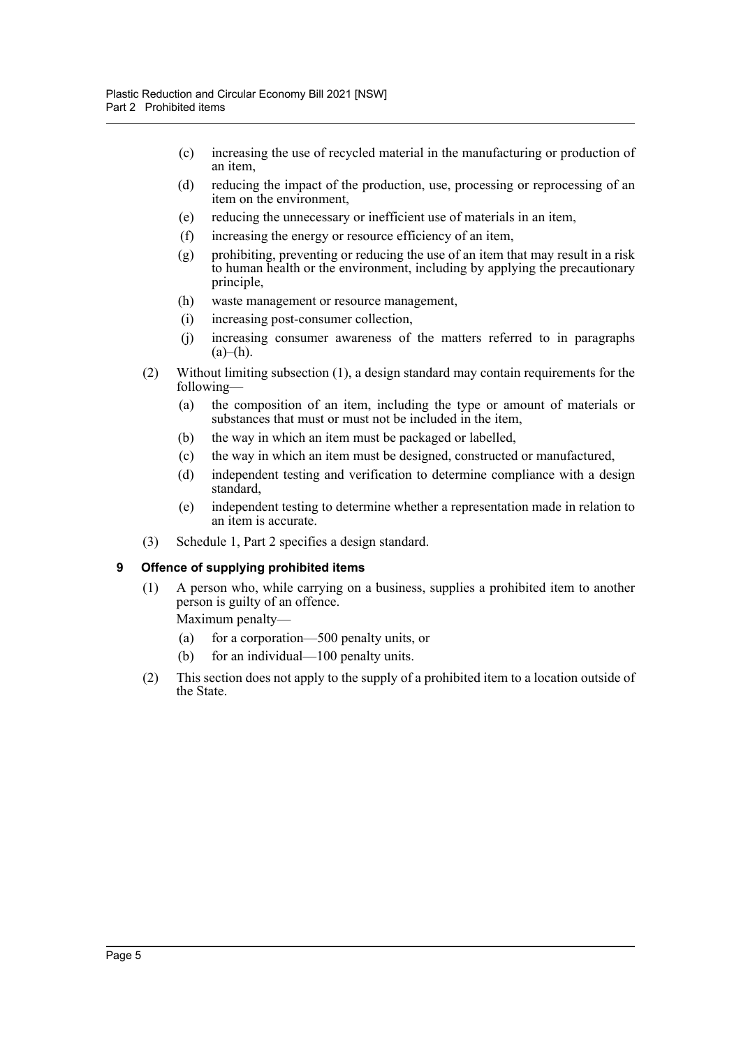- (c) increasing the use of recycled material in the manufacturing or production of an item,
- (d) reducing the impact of the production, use, processing or reprocessing of an item on the environment,
- (e) reducing the unnecessary or inefficient use of materials in an item,
- (f) increasing the energy or resource efficiency of an item,
- (g) prohibiting, preventing or reducing the use of an item that may result in a risk to human health or the environment, including by applying the precautionary principle,
- (h) waste management or resource management,
- (i) increasing post-consumer collection,
- (j) increasing consumer awareness of the matters referred to in paragraphs  $(a)$ – $(h)$ .
- (2) Without limiting subsection (1), a design standard may contain requirements for the following—
	- (a) the composition of an item, including the type or amount of materials or substances that must or must not be included in the item,
	- (b) the way in which an item must be packaged or labelled,
	- (c) the way in which an item must be designed, constructed or manufactured,
	- (d) independent testing and verification to determine compliance with a design standard,
	- (e) independent testing to determine whether a representation made in relation to an item is accurate.
- (3) Schedule 1, Part 2 specifies a design standard.

#### <span id="page-7-0"></span>**9 Offence of supplying prohibited items**

(1) A person who, while carrying on a business, supplies a prohibited item to another person is guilty of an offence.

Maximum penalty—

- (a) for a corporation—500 penalty units, or
- (b) for an individual—100 penalty units.
- (2) This section does not apply to the supply of a prohibited item to a location outside of the State.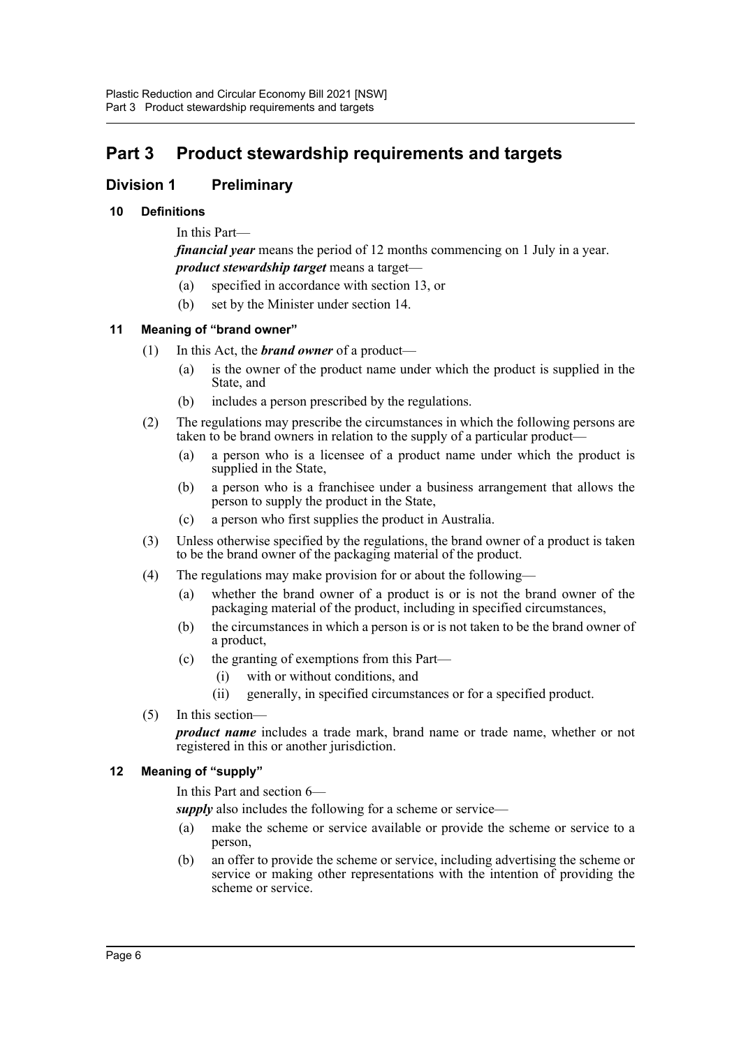## <span id="page-8-0"></span>**Part 3 Product stewardship requirements and targets**

## <span id="page-8-1"></span>**Division 1 Preliminary**

## <span id="page-8-2"></span>**10 Definitions**

In this Part—

*financial year* means the period of 12 months commencing on 1 July in a year. *product stewardship target* means a target—

- (a) specified in accordance with section 13, or
- (b) set by the Minister under section 14.

## <span id="page-8-3"></span>**11 Meaning of "brand owner"**

- (1) In this Act, the *brand owner* of a product—
	- (a) is the owner of the product name under which the product is supplied in the State, and
	- (b) includes a person prescribed by the regulations.
- (2) The regulations may prescribe the circumstances in which the following persons are taken to be brand owners in relation to the supply of a particular product—
	- (a) a person who is a licensee of a product name under which the product is supplied in the State,
	- (b) a person who is a franchisee under a business arrangement that allows the person to supply the product in the State,
	- (c) a person who first supplies the product in Australia.
- (3) Unless otherwise specified by the regulations, the brand owner of a product is taken to be the brand owner of the packaging material of the product.
- (4) The regulations may make provision for or about the following—
	- (a) whether the brand owner of a product is or is not the brand owner of the packaging material of the product, including in specified circumstances,
	- (b) the circumstances in which a person is or is not taken to be the brand owner of a product,
	- (c) the granting of exemptions from this Part
		- with or without conditions, and
		- (ii) generally, in specified circumstances or for a specified product.
- (5) In this section—

*product name* includes a trade mark, brand name or trade name, whether or not registered in this or another jurisdiction.

#### <span id="page-8-4"></span>**12 Meaning of "supply"**

In this Part and section 6—

*supply* also includes the following for a scheme or service—

- (a) make the scheme or service available or provide the scheme or service to a person,
- (b) an offer to provide the scheme or service, including advertising the scheme or service or making other representations with the intention of providing the scheme or service.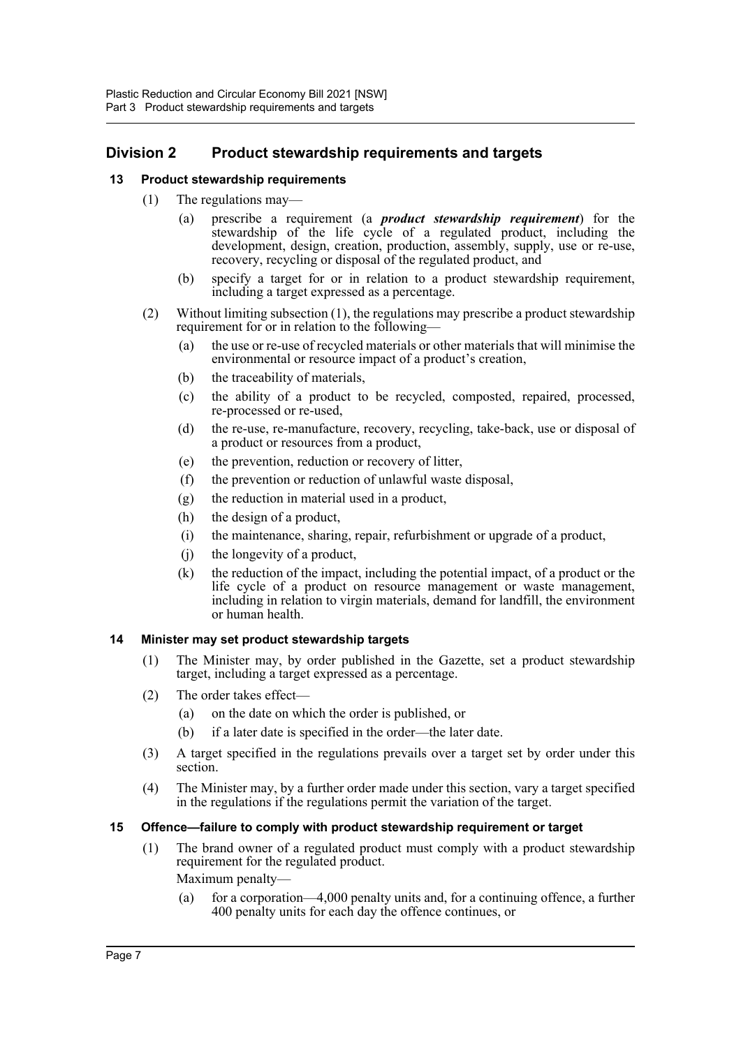## <span id="page-9-0"></span>**Division 2 Product stewardship requirements and targets**

## <span id="page-9-1"></span>**13 Product stewardship requirements**

- (1) The regulations may—
	- (a) prescribe a requirement (a *product stewardship requirement*) for the stewardship of the life cycle of a regulated product, including the development, design, creation, production, assembly, supply, use or re-use, recovery, recycling or disposal of the regulated product, and
	- (b) specify a target for or in relation to a product stewardship requirement, including a target expressed as a percentage.
- (2) Without limiting subsection (1), the regulations may prescribe a product stewardship requirement for or in relation to the following—
	- (a) the use or re-use of recycled materials or other materials that will minimise the environmental or resource impact of a product's creation,
	- (b) the traceability of materials,
	- (c) the ability of a product to be recycled, composted, repaired, processed, re-processed or re-used,
	- (d) the re-use, re-manufacture, recovery, recycling, take-back, use or disposal of a product or resources from a product,
	- (e) the prevention, reduction or recovery of litter,
	- (f) the prevention or reduction of unlawful waste disposal,
	- (g) the reduction in material used in a product,
	- (h) the design of a product,
	- (i) the maintenance, sharing, repair, refurbishment or upgrade of a product,
	- (j) the longevity of a product,
	- (k) the reduction of the impact, including the potential impact, of a product or the life cycle of a product on resource management or waste management, including in relation to virgin materials, demand for landfill, the environment or human health.

#### <span id="page-9-2"></span>**14 Minister may set product stewardship targets**

- (1) The Minister may, by order published in the Gazette, set a product stewardship target, including a target expressed as a percentage.
- (2) The order takes effect—
	- (a) on the date on which the order is published, or
	- (b) if a later date is specified in the order—the later date.
- (3) A target specified in the regulations prevails over a target set by order under this section.
- (4) The Minister may, by a further order made under this section, vary a target specified in the regulations if the regulations permit the variation of the target.

#### <span id="page-9-3"></span>**15 Offence—failure to comply with product stewardship requirement or target**

- (1) The brand owner of a regulated product must comply with a product stewardship requirement for the regulated product. Maximum penalty—
	- (a) for a corporation—4,000 penalty units and, for a continuing offence, a further 400 penalty units for each day the offence continues, or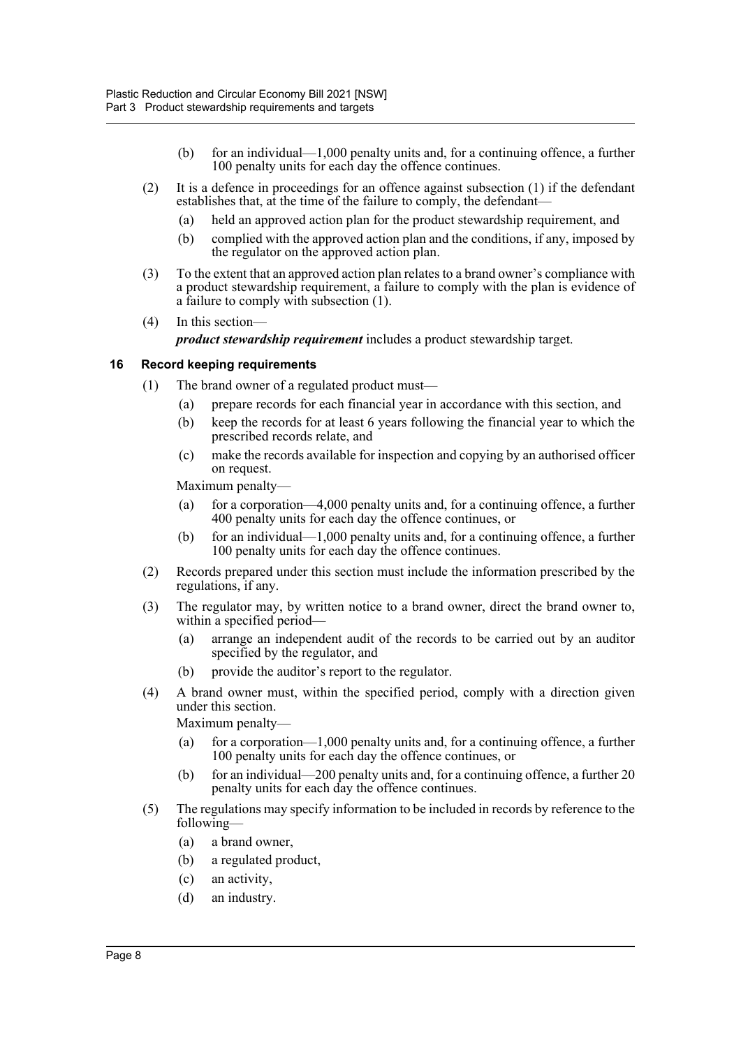- (b) for an individual—1,000 penalty units and, for a continuing offence, a further 100 penalty units for each day the offence continues.
- (2) It is a defence in proceedings for an offence against subsection  $(1)$  if the defendant establishes that, at the time of the failure to comply, the defendant—
	- (a) held an approved action plan for the product stewardship requirement, and
	- (b) complied with the approved action plan and the conditions, if any, imposed by the regulator on the approved action plan.
- (3) To the extent that an approved action plan relates to a brand owner's compliance with a product stewardship requirement, a failure to comply with the plan is evidence of a failure to comply with subsection (1).
- (4) In this section—

*product stewardship requirement* includes a product stewardship target.

#### <span id="page-10-0"></span>**16 Record keeping requirements**

- (1) The brand owner of a regulated product must—
	- (a) prepare records for each financial year in accordance with this section, and
	- (b) keep the records for at least 6 years following the financial year to which the prescribed records relate, and
	- (c) make the records available for inspection and copying by an authorised officer on request.

Maximum penalty—

- (a) for a corporation—4,000 penalty units and, for a continuing offence, a further 400 penalty units for each day the offence continues, or
- (b) for an individual—1,000 penalty units and, for a continuing offence, a further 100 penalty units for each day the offence continues.
- (2) Records prepared under this section must include the information prescribed by the regulations, if any.
- (3) The regulator may, by written notice to a brand owner, direct the brand owner to, within a specified period—
	- (a) arrange an independent audit of the records to be carried out by an auditor specified by the regulator, and
	- (b) provide the auditor's report to the regulator.
- (4) A brand owner must, within the specified period, comply with a direction given under this section.

Maximum penalty—

- (a) for a corporation—1,000 penalty units and, for a continuing offence, a further 100 penalty units for each day the offence continues, or
- (b) for an individual—200 penalty units and, for a continuing offence, a further 20 penalty units for each day the offence continues.
- (5) The regulations may specify information to be included in records by reference to the following—
	- (a) a brand owner,
	- (b) a regulated product,
	- (c) an activity,
	- (d) an industry.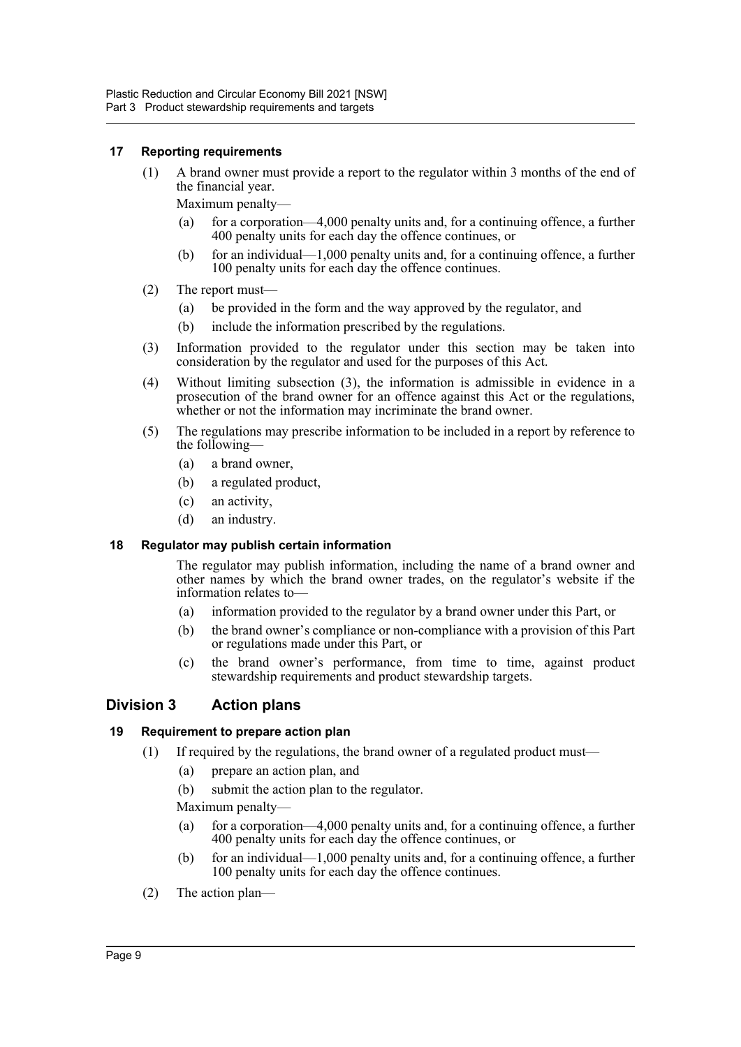#### <span id="page-11-0"></span>**17 Reporting requirements**

(1) A brand owner must provide a report to the regulator within 3 months of the end of the financial year.

Maximum penalty—

- (a) for a corporation—4,000 penalty units and, for a continuing offence, a further 400 penalty units for each day the offence continues, or
- (b) for an individual—1,000 penalty units and, for a continuing offence, a further 100 penalty units for each day the offence continues.
- (2) The report must—
	- (a) be provided in the form and the way approved by the regulator, and
	- (b) include the information prescribed by the regulations.
- (3) Information provided to the regulator under this section may be taken into consideration by the regulator and used for the purposes of this Act.
- (4) Without limiting subsection (3), the information is admissible in evidence in a prosecution of the brand owner for an offence against this Act or the regulations, whether or not the information may incriminate the brand owner.
- (5) The regulations may prescribe information to be included in a report by reference to the following—
	- (a) a brand owner,
	- (b) a regulated product,
	- (c) an activity,
	- (d) an industry.

#### <span id="page-11-1"></span>**18 Regulator may publish certain information**

The regulator may publish information, including the name of a brand owner and other names by which the brand owner trades, on the regulator's website if the information relates to—

- (a) information provided to the regulator by a brand owner under this Part, or
- (b) the brand owner's compliance or non-compliance with a provision of this Part or regulations made under this Part, or
- (c) the brand owner's performance, from time to time, against product stewardship requirements and product stewardship targets.

## <span id="page-11-2"></span>**Division 3 Action plans**

#### <span id="page-11-3"></span>**19 Requirement to prepare action plan**

- (1) If required by the regulations, the brand owner of a regulated product must—
	- (a) prepare an action plan, and
	- (b) submit the action plan to the regulator.
	- Maximum penalty—
	- (a) for a corporation—4,000 penalty units and, for a continuing offence, a further 400 penalty units for each day the offence continues, or
	- (b) for an individual—1,000 penalty units and, for a continuing offence, a further 100 penalty units for each day the offence continues.
- (2) The action plan—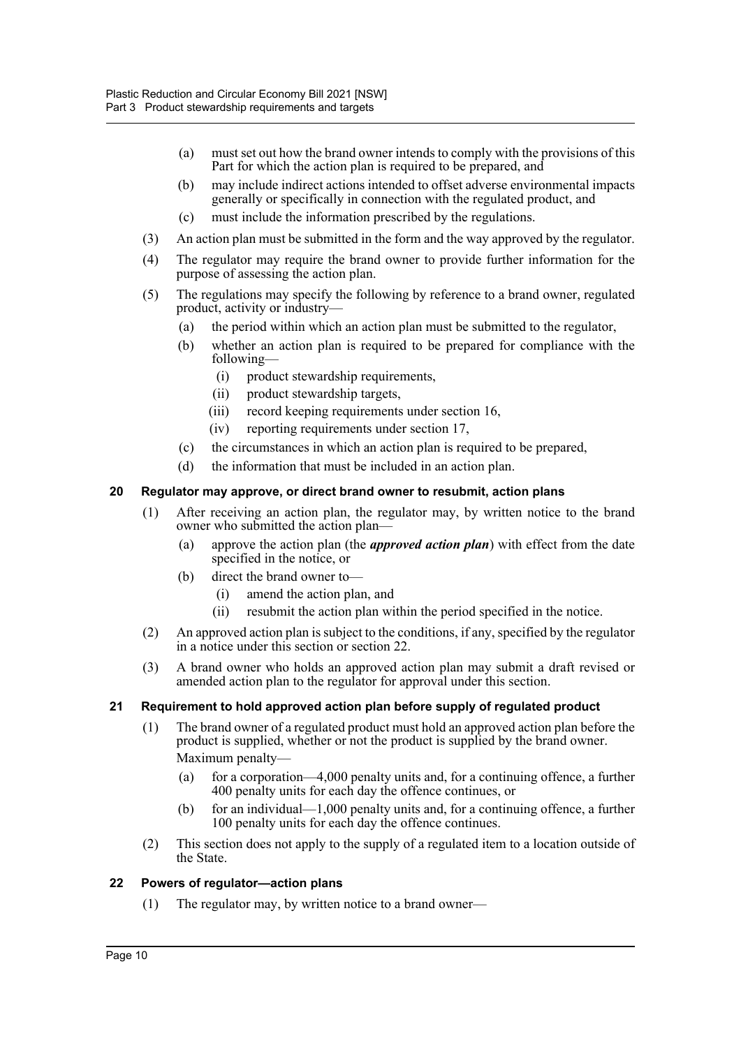- (a) must set out how the brand owner intends to comply with the provisions of this Part for which the action plan is required to be prepared, and
- (b) may include indirect actions intended to offset adverse environmental impacts generally or specifically in connection with the regulated product, and
- (c) must include the information prescribed by the regulations.
- (3) An action plan must be submitted in the form and the way approved by the regulator.
- (4) The regulator may require the brand owner to provide further information for the purpose of assessing the action plan.
- (5) The regulations may specify the following by reference to a brand owner, regulated product, activity or industry—
	- (a) the period within which an action plan must be submitted to the regulator,
	- (b) whether an action plan is required to be prepared for compliance with the following—
		- (i) product stewardship requirements,
		- (ii) product stewardship targets,
		- (iii) record keeping requirements under section 16,
		- (iv) reporting requirements under section 17,
	- (c) the circumstances in which an action plan is required to be prepared,
	- (d) the information that must be included in an action plan.

## <span id="page-12-0"></span>**20 Regulator may approve, or direct brand owner to resubmit, action plans**

- (1) After receiving an action plan, the regulator may, by written notice to the brand owner who submitted the action plan—
	- (a) approve the action plan (the *approved action plan*) with effect from the date specified in the notice, or
	- (b) direct the brand owner to—
		- (i) amend the action plan, and
		- (ii) resubmit the action plan within the period specified in the notice.
- (2) An approved action plan is subject to the conditions, if any, specified by the regulator in a notice under this section or section 22.
- (3) A brand owner who holds an approved action plan may submit a draft revised or amended action plan to the regulator for approval under this section.

#### <span id="page-12-1"></span>**21 Requirement to hold approved action plan before supply of regulated product**

- (1) The brand owner of a regulated product must hold an approved action plan before the product is supplied, whether or not the product is supplied by the brand owner. Maximum penalty—
	- (a) for a corporation—4,000 penalty units and, for a continuing offence, a further 400 penalty units for each day the offence continues, or
	- (b) for an individual—1,000 penalty units and, for a continuing offence, a further 100 penalty units for each day the offence continues.
- (2) This section does not apply to the supply of a regulated item to a location outside of the State.

#### <span id="page-12-2"></span>**22 Powers of regulator—action plans**

(1) The regulator may, by written notice to a brand owner—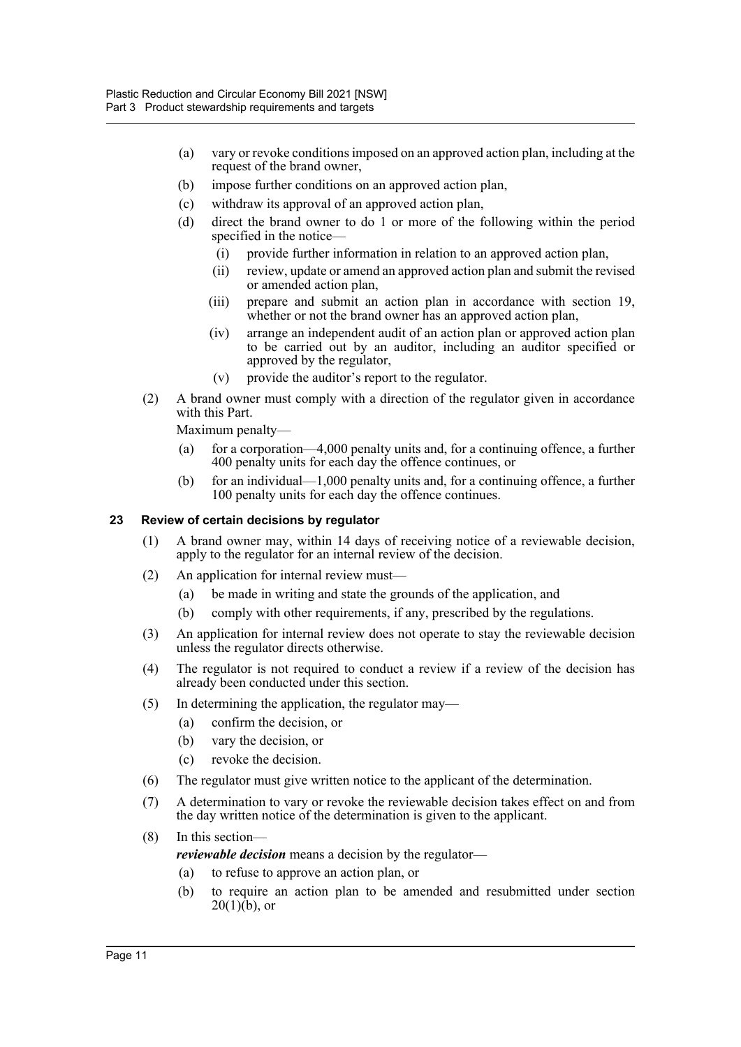- (a) vary or revoke conditions imposed on an approved action plan, including at the request of the brand owner,
- (b) impose further conditions on an approved action plan,
- (c) withdraw its approval of an approved action plan,
- (d) direct the brand owner to do 1 or more of the following within the period specified in the notice—
	- (i) provide further information in relation to an approved action plan,
	- (ii) review, update or amend an approved action plan and submit the revised or amended action plan,
	- (iii) prepare and submit an action plan in accordance with section 19, whether or not the brand owner has an approved action plan,
	- (iv) arrange an independent audit of an action plan or approved action plan to be carried out by an auditor, including an auditor specified or approved by the regulator,
	- (v) provide the auditor's report to the regulator.
- (2) A brand owner must comply with a direction of the regulator given in accordance with this Part.

Maximum penalty—

- (a) for a corporation—4,000 penalty units and, for a continuing offence, a further 400 penalty units for each day the offence continues, or
- (b) for an individual—1,000 penalty units and, for a continuing offence, a further 100 penalty units for each day the offence continues.

## <span id="page-13-0"></span>**23 Review of certain decisions by regulator**

- (1) A brand owner may, within 14 days of receiving notice of a reviewable decision, apply to the regulator for an internal review of the decision.
- (2) An application for internal review must—
	- (a) be made in writing and state the grounds of the application, and
	- (b) comply with other requirements, if any, prescribed by the regulations.
- (3) An application for internal review does not operate to stay the reviewable decision unless the regulator directs otherwise.
- (4) The regulator is not required to conduct a review if a review of the decision has already been conducted under this section.
- (5) In determining the application, the regulator may—
	- (a) confirm the decision, or
	- (b) vary the decision, or
	- (c) revoke the decision.
- (6) The regulator must give written notice to the applicant of the determination.
- (7) A determination to vary or revoke the reviewable decision takes effect on and from the day written notice of the determination is given to the applicant.

## (8) In this section—

*reviewable decision* means a decision by the regulator—

- (a) to refuse to approve an action plan, or
- (b) to require an action plan to be amended and resubmitted under section  $20(1)(b)$ , or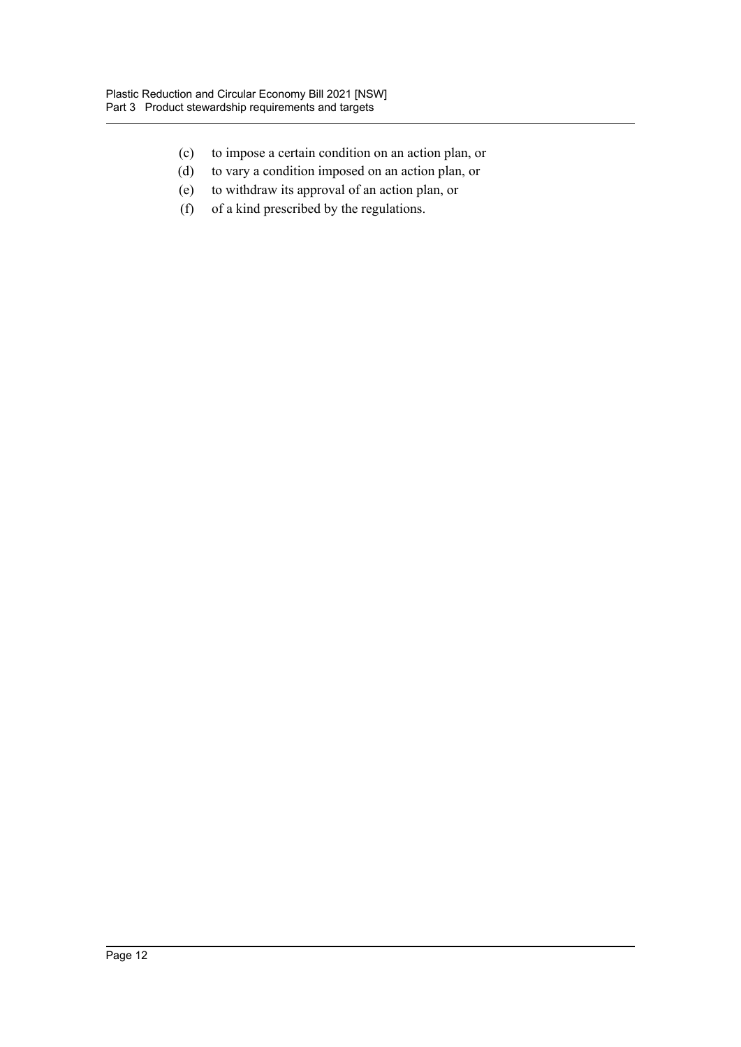- (c) to impose a certain condition on an action plan, or
- (d) to vary a condition imposed on an action plan, or
- (e) to withdraw its approval of an action plan, or
- (f) of a kind prescribed by the regulations.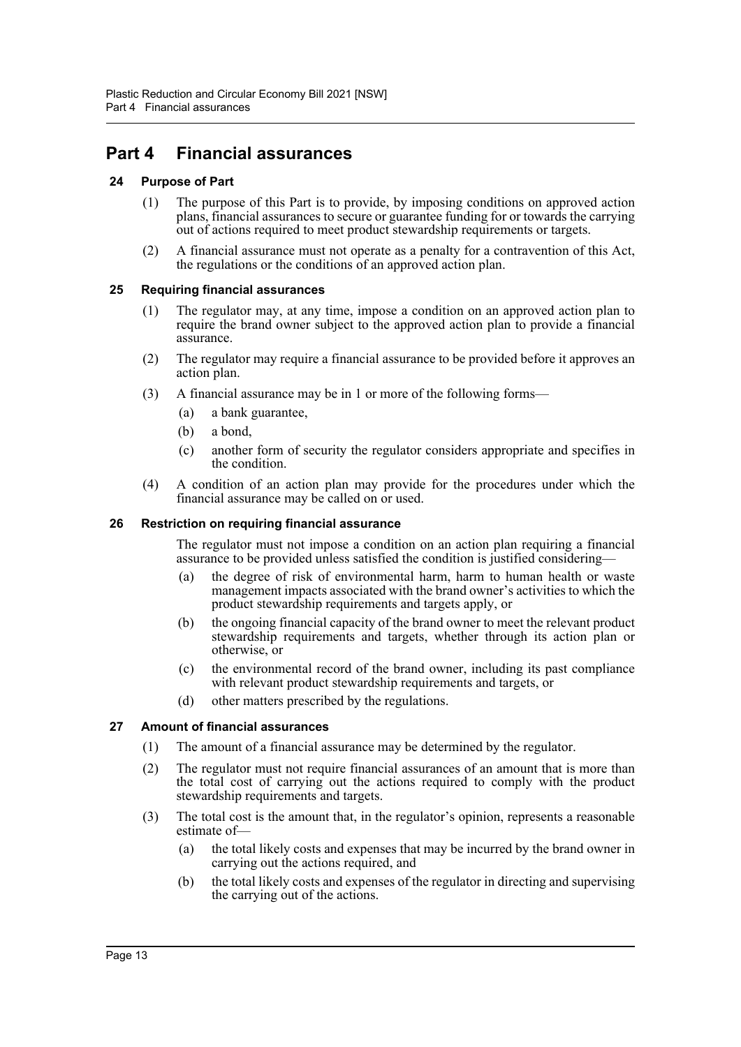## <span id="page-15-0"></span>**Part 4 Financial assurances**

## <span id="page-15-1"></span>**24 Purpose of Part**

- (1) The purpose of this Part is to provide, by imposing conditions on approved action plans, financial assurances to secure or guarantee funding for or towards the carrying out of actions required to meet product stewardship requirements or targets.
- (2) A financial assurance must not operate as a penalty for a contravention of this Act, the regulations or the conditions of an approved action plan.

## <span id="page-15-2"></span>**25 Requiring financial assurances**

- (1) The regulator may, at any time, impose a condition on an approved action plan to require the brand owner subject to the approved action plan to provide a financial assurance.
- (2) The regulator may require a financial assurance to be provided before it approves an action plan.
- (3) A financial assurance may be in 1 or more of the following forms—
	- (a) a bank guarantee,
	- (b) a bond,
	- (c) another form of security the regulator considers appropriate and specifies in the condition.
- (4) A condition of an action plan may provide for the procedures under which the financial assurance may be called on or used.

#### <span id="page-15-3"></span>**26 Restriction on requiring financial assurance**

The regulator must not impose a condition on an action plan requiring a financial assurance to be provided unless satisfied the condition is justified considering—

- (a) the degree of risk of environmental harm, harm to human health or waste management impacts associated with the brand owner's activities to which the product stewardship requirements and targets apply, or
- (b) the ongoing financial capacity of the brand owner to meet the relevant product stewardship requirements and targets, whether through its action plan or otherwise, or
- (c) the environmental record of the brand owner, including its past compliance with relevant product stewardship requirements and targets, or
- (d) other matters prescribed by the regulations.

#### <span id="page-15-4"></span>**27 Amount of financial assurances**

- (1) The amount of a financial assurance may be determined by the regulator.
- (2) The regulator must not require financial assurances of an amount that is more than the total cost of carrying out the actions required to comply with the product stewardship requirements and targets.
- (3) The total cost is the amount that, in the regulator's opinion, represents a reasonable estimate of—
	- (a) the total likely costs and expenses that may be incurred by the brand owner in carrying out the actions required, and
	- (b) the total likely costs and expenses of the regulator in directing and supervising the carrying out of the actions.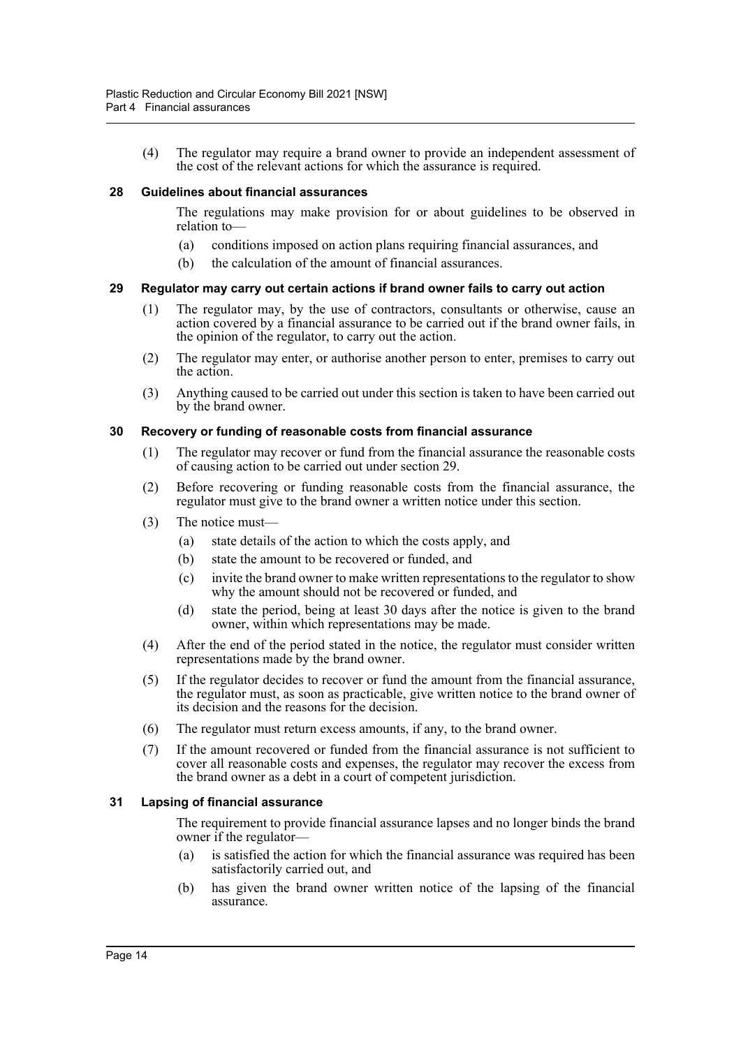(4) The regulator may require a brand owner to provide an independent assessment of the cost of the relevant actions for which the assurance is required.

#### <span id="page-16-0"></span>**28 Guidelines about financial assurances**

The regulations may make provision for or about guidelines to be observed in relation to—

- (a) conditions imposed on action plans requiring financial assurances, and
- (b) the calculation of the amount of financial assurances.

#### <span id="page-16-1"></span>**29 Regulator may carry out certain actions if brand owner fails to carry out action**

- (1) The regulator may, by the use of contractors, consultants or otherwise, cause an action covered by a financial assurance to be carried out if the brand owner fails, in the opinion of the regulator, to carry out the action.
- (2) The regulator may enter, or authorise another person to enter, premises to carry out the action.
- (3) Anything caused to be carried out under this section is taken to have been carried out by the brand owner.

#### <span id="page-16-2"></span>**30 Recovery or funding of reasonable costs from financial assurance**

- (1) The regulator may recover or fund from the financial assurance the reasonable costs of causing action to be carried out under section 29.
- (2) Before recovering or funding reasonable costs from the financial assurance, the regulator must give to the brand owner a written notice under this section.
- (3) The notice must—
	- (a) state details of the action to which the costs apply, and
	- (b) state the amount to be recovered or funded, and
	- (c) invite the brand owner to make written representations to the regulator to show why the amount should not be recovered or funded, and
	- (d) state the period, being at least 30 days after the notice is given to the brand owner, within which representations may be made.
- (4) After the end of the period stated in the notice, the regulator must consider written representations made by the brand owner.
- (5) If the regulator decides to recover or fund the amount from the financial assurance, the regulator must, as soon as practicable, give written notice to the brand owner of its decision and the reasons for the decision.
- (6) The regulator must return excess amounts, if any, to the brand owner.
- (7) If the amount recovered or funded from the financial assurance is not sufficient to cover all reasonable costs and expenses, the regulator may recover the excess from the brand owner as a debt in a court of competent jurisdiction.

#### <span id="page-16-3"></span>**31 Lapsing of financial assurance**

The requirement to provide financial assurance lapses and no longer binds the brand owner if the regulator—

- (a) is satisfied the action for which the financial assurance was required has been satisfactorily carried out, and
- (b) has given the brand owner written notice of the lapsing of the financial assurance.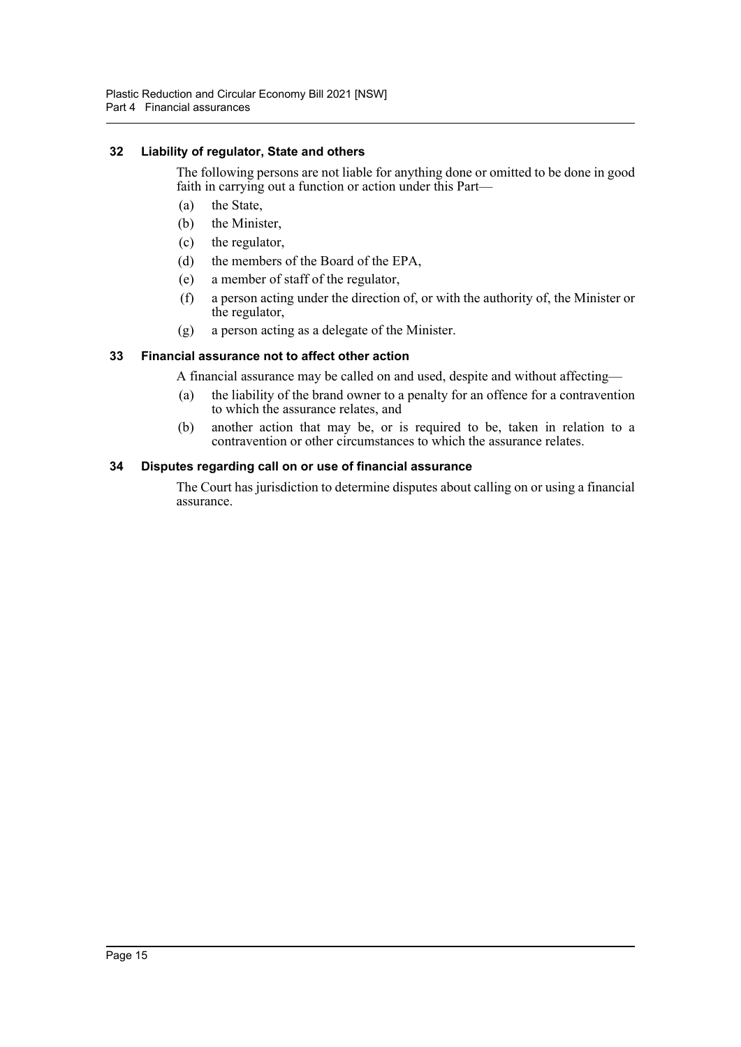#### <span id="page-17-0"></span>**32 Liability of regulator, State and others**

The following persons are not liable for anything done or omitted to be done in good faith in carrying out a function or action under this Part—

- (a) the State,
- (b) the Minister,
- (c) the regulator,
- (d) the members of the Board of the EPA,
- (e) a member of staff of the regulator,
- (f) a person acting under the direction of, or with the authority of, the Minister or the regulator,
- (g) a person acting as a delegate of the Minister.

## <span id="page-17-1"></span>**33 Financial assurance not to affect other action**

A financial assurance may be called on and used, despite and without affecting—

- (a) the liability of the brand owner to a penalty for an offence for a contravention to which the assurance relates, and
- (b) another action that may be, or is required to be, taken in relation to a contravention or other circumstances to which the assurance relates.

## <span id="page-17-2"></span>**34 Disputes regarding call on or use of financial assurance**

The Court has jurisdiction to determine disputes about calling on or using a financial assurance.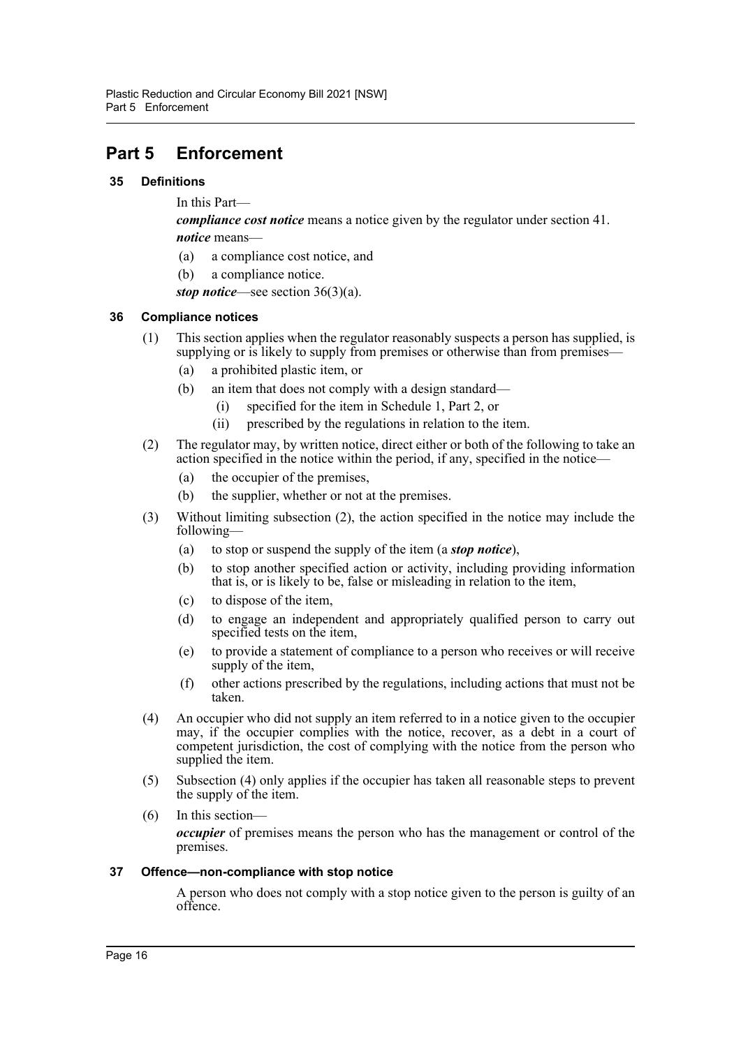## <span id="page-18-0"></span>**Part 5 Enforcement**

## <span id="page-18-1"></span>**35 Definitions**

In this Part—

*compliance cost notice* means a notice given by the regulator under section [41.](#page-19-3) *notice* means—

- (a) a compliance cost notice, and
- (b) a compliance notice.

*stop notice*—see section 36(3)(a).

## <span id="page-18-2"></span>**36 Compliance notices**

- (1) This section applies when the regulator reasonably suspects a person has supplied, is supplying or is likely to supply from premises or otherwise than from premises—
	- (a) a prohibited plastic item, or
	- (b) an item that does not comply with a design standard—
		- (i) specified for the item in Schedule 1, Part 2, or
		- (ii) prescribed by the regulations in relation to the item.
- (2) The regulator may, by written notice, direct either or both of the following to take an action specified in the notice within the period, if any, specified in the notice—
	- (a) the occupier of the premises,
	- (b) the supplier, whether or not at the premises.
- (3) Without limiting subsection (2), the action specified in the notice may include the following—
	- (a) to stop or suspend the supply of the item (a *stop notice*),
	- (b) to stop another specified action or activity, including providing information that is, or is likely to be, false or misleading in relation to the item,
	- (c) to dispose of the item,
	- (d) to engage an independent and appropriately qualified person to carry out specified tests on the item,
	- (e) to provide a statement of compliance to a person who receives or will receive supply of the item,
	- (f) other actions prescribed by the regulations, including actions that must not be taken.
- (4) An occupier who did not supply an item referred to in a notice given to the occupier may, if the occupier complies with the notice, recover, as a debt in a court of competent jurisdiction, the cost of complying with the notice from the person who supplied the item.
- (5) Subsection (4) only applies if the occupier has taken all reasonable steps to prevent the supply of the item.
- (6) In this section *occupier* of premises means the person who has the management or control of the premises.

#### <span id="page-18-3"></span>**37 Offence—non-compliance with stop notice**

A person who does not comply with a stop notice given to the person is guilty of an offence.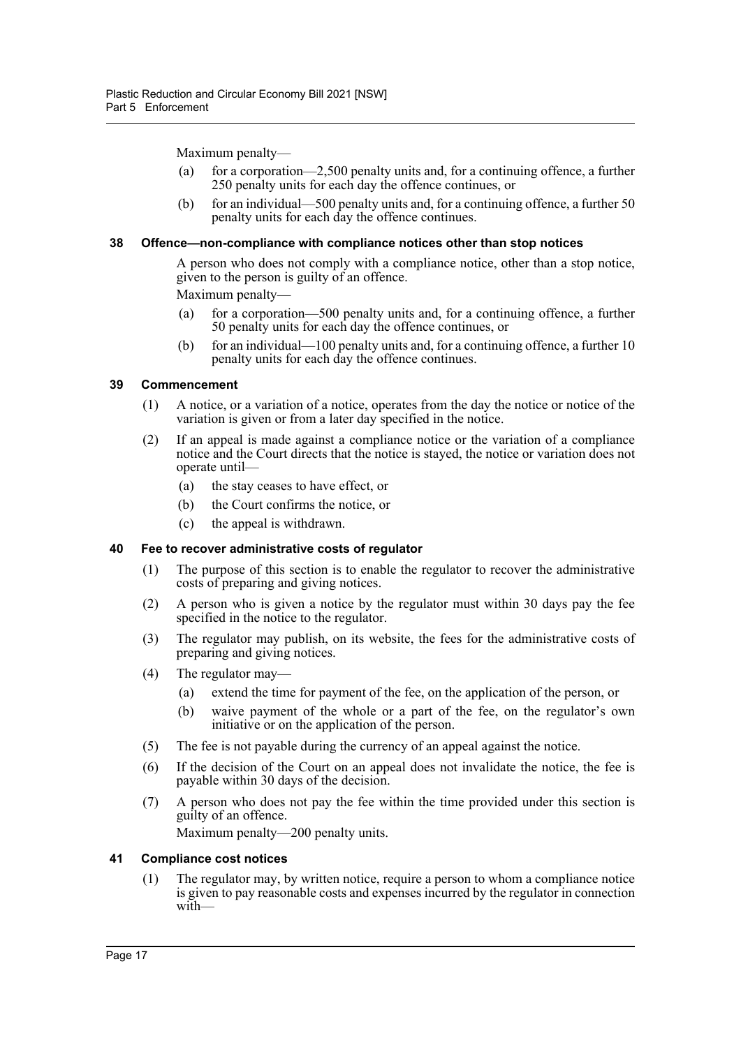Maximum penalty—

- (a) for a corporation—2,500 penalty units and, for a continuing offence, a further 250 penalty units for each day the offence continues, or
- (b) for an individual—500 penalty units and, for a continuing offence, a further 50 penalty units for each day the offence continues.

#### <span id="page-19-0"></span>**38 Offence—non-compliance with compliance notices other than stop notices**

A person who does not comply with a compliance notice, other than a stop notice, given to the person is guilty of an offence.

Maximum penalty—

- (a) for a corporation—500 penalty units and, for a continuing offence, a further 50 penalty units for each day the offence continues, or
- (b) for an individual—100 penalty units and, for a continuing offence, a further 10 penalty units for each day the offence continues.

#### <span id="page-19-1"></span>**39 Commencement**

- (1) A notice, or a variation of a notice, operates from the day the notice or notice of the variation is given or from a later day specified in the notice.
- (2) If an appeal is made against a compliance notice or the variation of a compliance notice and the Court directs that the notice is stayed, the notice or variation does not operate until—
	- (a) the stay ceases to have effect, or
	- (b) the Court confirms the notice, or
	- (c) the appeal is withdrawn.

#### <span id="page-19-2"></span>**40 Fee to recover administrative costs of regulator**

- (1) The purpose of this section is to enable the regulator to recover the administrative costs of preparing and giving notices.
- (2) A person who is given a notice by the regulator must within 30 days pay the fee specified in the notice to the regulator.
- (3) The regulator may publish, on its website, the fees for the administrative costs of preparing and giving notices.
- (4) The regulator may—
	- (a) extend the time for payment of the fee, on the application of the person, or
	- (b) waive payment of the whole or a part of the fee, on the regulator's own initiative or on the application of the person.
- (5) The fee is not payable during the currency of an appeal against the notice.
- (6) If the decision of the Court on an appeal does not invalidate the notice, the fee is payable within 30 days of the decision.
- (7) A person who does not pay the fee within the time provided under this section is guilty of an offence. Maximum penalty—200 penalty units.

#### <span id="page-19-3"></span>**41 Compliance cost notices**

(1) The regulator may, by written notice, require a person to whom a compliance notice is given to pay reasonable costs and expenses incurred by the regulator in connection with—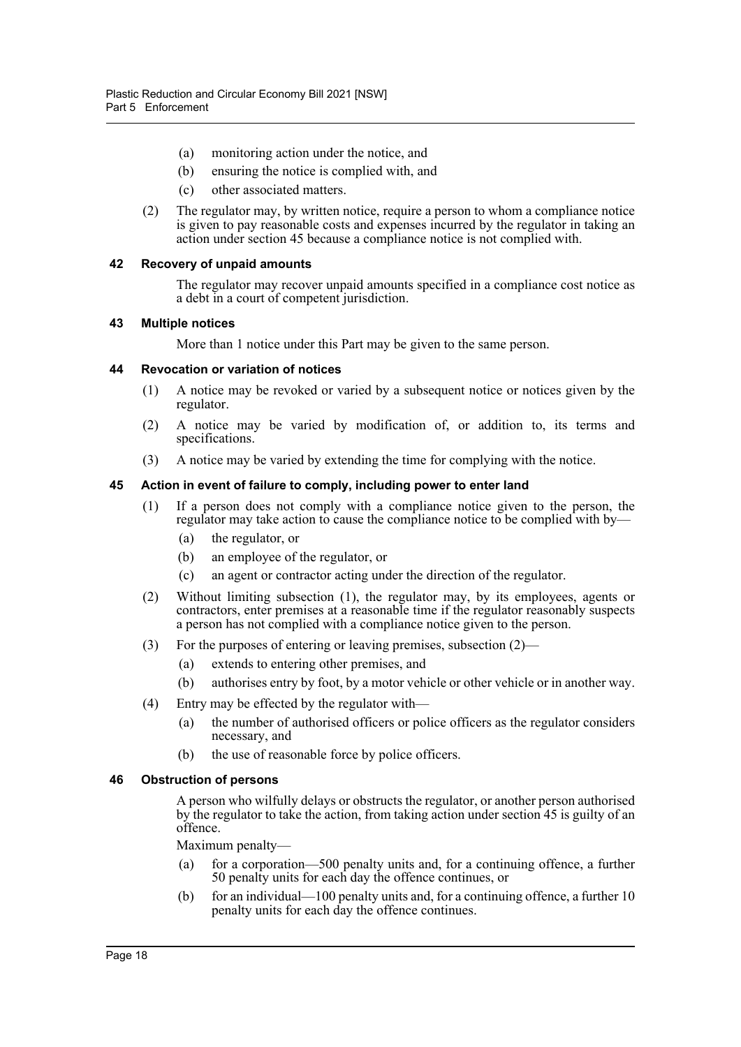- (a) monitoring action under the notice, and
- (b) ensuring the notice is complied with, and
- (c) other associated matters.
- (2) The regulator may, by written notice, require a person to whom a compliance notice is given to pay reasonable costs and expenses incurred by the regulator in taking an action under section [45](#page-20-3) because a compliance notice is not complied with.

#### <span id="page-20-0"></span>**42 Recovery of unpaid amounts**

The regulator may recover unpaid amounts specified in a compliance cost notice as a debt in a court of competent jurisdiction.

#### <span id="page-20-1"></span>**43 Multiple notices**

More than 1 notice under this Part may be given to the same person.

#### <span id="page-20-2"></span>**44 Revocation or variation of notices**

- (1) A notice may be revoked or varied by a subsequent notice or notices given by the regulator.
- (2) A notice may be varied by modification of, or addition to, its terms and specifications.
- (3) A notice may be varied by extending the time for complying with the notice.

#### <span id="page-20-3"></span>**45 Action in event of failure to comply, including power to enter land**

- (1) If a person does not comply with a compliance notice given to the person, the regulator may take action to cause the compliance notice to be complied with by—
	- (a) the regulator, or
	- (b) an employee of the regulator, or
	- (c) an agent or contractor acting under the direction of the regulator.
- (2) Without limiting subsection (1), the regulator may, by its employees, agents or contractors, enter premises at a reasonable time if the regulator reasonably suspects a person has not complied with a compliance notice given to the person.
- (3) For the purposes of entering or leaving premises, subsection (2)—
	- (a) extends to entering other premises, and
	- (b) authorises entry by foot, by a motor vehicle or other vehicle or in another way.
- (4) Entry may be effected by the regulator with—
	- (a) the number of authorised officers or police officers as the regulator considers necessary, and
	- (b) the use of reasonable force by police officers.

#### <span id="page-20-4"></span>**46 Obstruction of persons**

A person who wilfully delays or obstructs the regulator, or another person authorised by the regulator to take the action, from taking action under section [45](#page-20-3) is guilty of an offence.

Maximum penalty—

- (a) for a corporation—500 penalty units and, for a continuing offence, a further 50 penalty units for each day the offence continues, or
- (b) for an individual—100 penalty units and, for a continuing offence, a further  $10$ penalty units for each day the offence continues.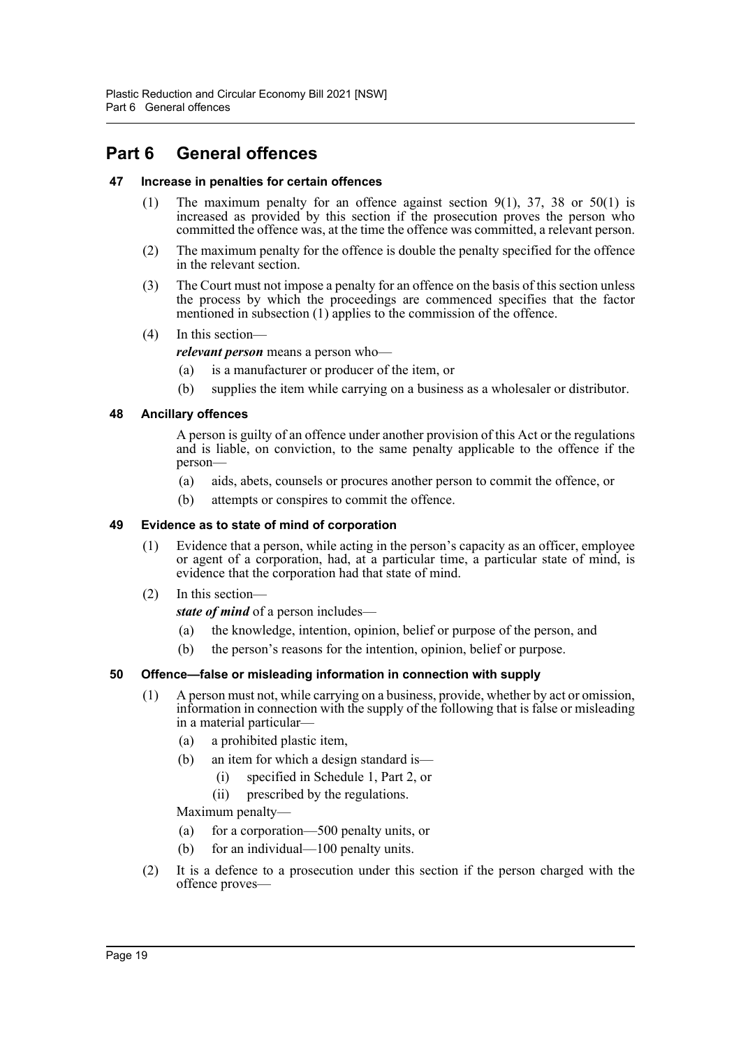## <span id="page-21-0"></span>**Part 6 General offences**

#### <span id="page-21-1"></span>**47 Increase in penalties for certain offences**

- (1) The maximum penalty for an offence against section  $9(1)$ , 37, 38 or 50(1) is increased as provided by this section if the prosecution proves the person who committed the offence was, at the time the offence was committed, a relevant person.
- (2) The maximum penalty for the offence is double the penalty specified for the offence in the relevant section.
- (3) The Court must not impose a penalty for an offence on the basis of this section unless the process by which the proceedings are commenced specifies that the factor mentioned in subsection (1) applies to the commission of the offence.
- (4) In this section—

*relevant person* means a person who—

- (a) is a manufacturer or producer of the item, or
- (b) supplies the item while carrying on a business as a wholesaler or distributor.

## <span id="page-21-2"></span>**48 Ancillary offences**

A person is guilty of an offence under another provision of this Act or the regulations and is liable, on conviction, to the same penalty applicable to the offence if the person—

- (a) aids, abets, counsels or procures another person to commit the offence, or
- (b) attempts or conspires to commit the offence.

#### <span id="page-21-3"></span>**49 Evidence as to state of mind of corporation**

- (1) Evidence that a person, while acting in the person's capacity as an officer, employee or agent of a corporation, had, at a particular time, a particular state of mind, is evidence that the corporation had that state of mind.
- (2) In this section—

*state of mind* of a person includes—

- (a) the knowledge, intention, opinion, belief or purpose of the person, and
- (b) the person's reasons for the intention, opinion, belief or purpose.

## <span id="page-21-4"></span>**50 Offence—false or misleading information in connection with supply**

- (1) A person must not, while carrying on a business, provide, whether by act or omission, information in connection with the supply of the following that is false or misleading in a material particular—
	- (a) a prohibited plastic item,
	- (b) an item for which a design standard is—
		- (i) specified in Schedule 1, Part 2, or
		- (ii) prescribed by the regulations.

Maximum penalty—

- (a) for a corporation—500 penalty units, or
- (b) for an individual—100 penalty units.
- (2) It is a defence to a prosecution under this section if the person charged with the offence proves—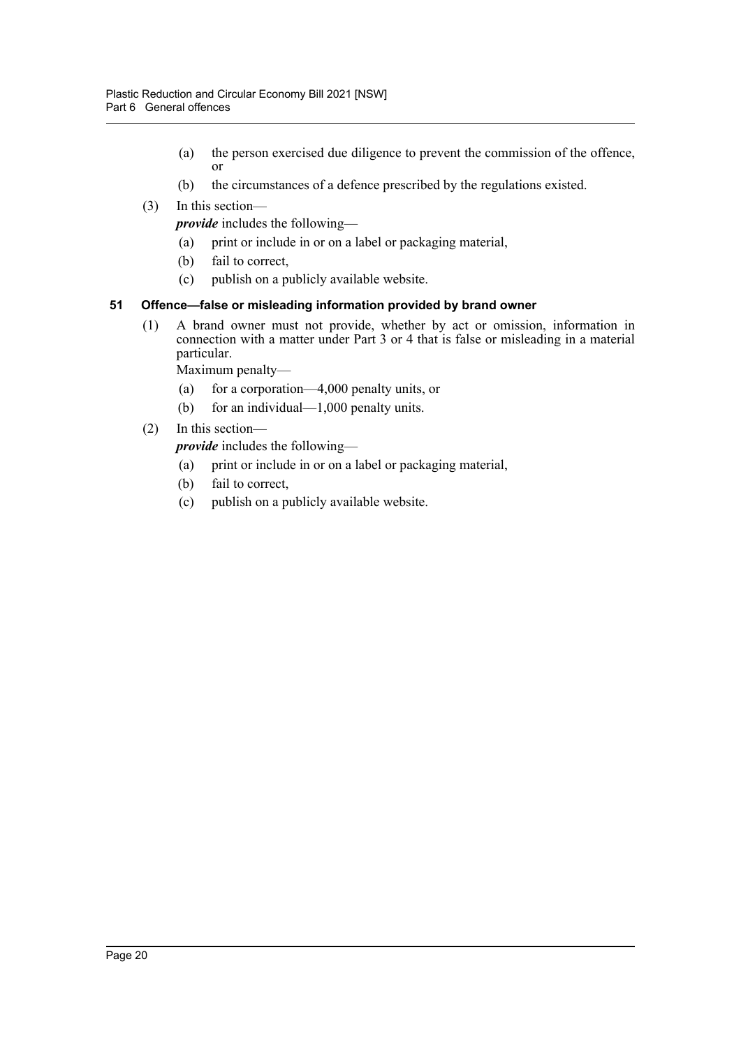- (a) the person exercised due diligence to prevent the commission of the offence, or
- (b) the circumstances of a defence prescribed by the regulations existed.
- (3) In this section—

*provide* includes the following—

- (a) print or include in or on a label or packaging material,
- (b) fail to correct,
- (c) publish on a publicly available website.

## <span id="page-22-0"></span>**51 Offence—false or misleading information provided by brand owner**

(1) A brand owner must not provide, whether by act or omission, information in connection with a matter under Part 3 or 4 that is false or misleading in a material particular.

Maximum penalty—

- (a) for a corporation—4,000 penalty units, or
- (b) for an individual—1,000 penalty units.
- (2) In this section—

*provide* includes the following—

- (a) print or include in or on a label or packaging material,
- (b) fail to correct,
- (c) publish on a publicly available website.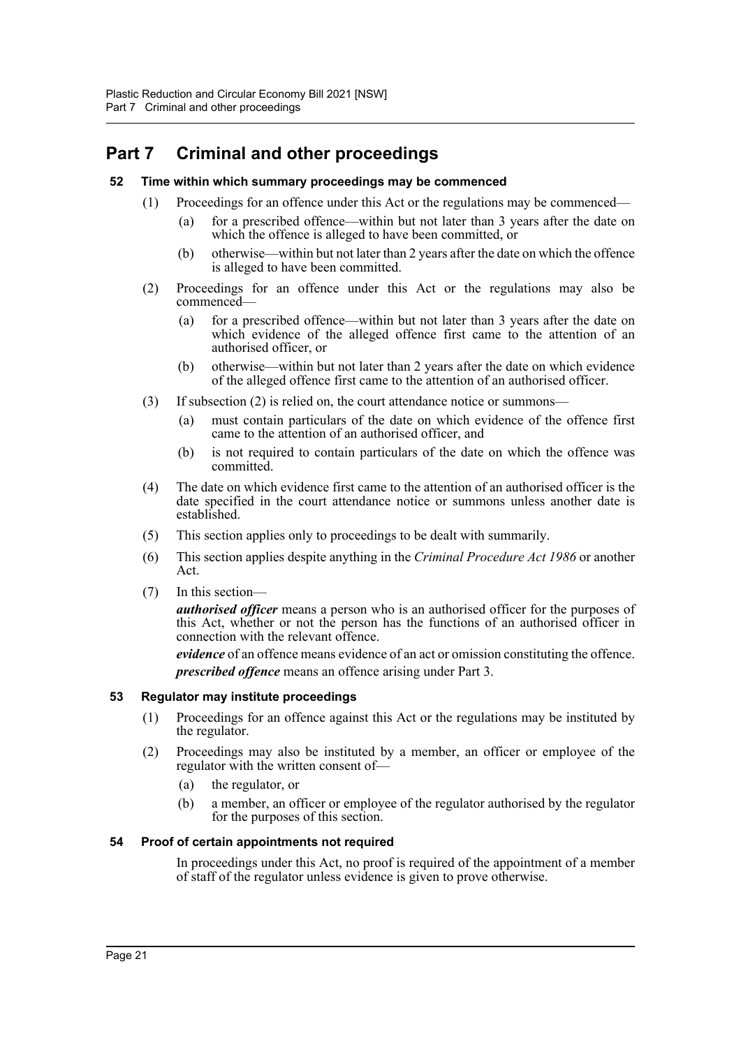## <span id="page-23-0"></span>**Part 7 Criminal and other proceedings**

#### <span id="page-23-1"></span>**52 Time within which summary proceedings may be commenced**

- (1) Proceedings for an offence under this Act or the regulations may be commenced—
	- (a) for a prescribed offence—within but not later than 3 years after the date on which the offence is alleged to have been committed, or
	- (b) otherwise—within but not later than 2 years after the date on which the offence is alleged to have been committed.
- (2) Proceedings for an offence under this Act or the regulations may also be commenced—
	- (a) for a prescribed offence—within but not later than 3 years after the date on which evidence of the alleged offence first came to the attention of an authorised officer, or
	- (b) otherwise—within but not later than 2 years after the date on which evidence of the alleged offence first came to the attention of an authorised officer.
- (3) If subsection (2) is relied on, the court attendance notice or summons—
	- (a) must contain particulars of the date on which evidence of the offence first came to the attention of an authorised officer, and
	- (b) is not required to contain particulars of the date on which the offence was committed.
- (4) The date on which evidence first came to the attention of an authorised officer is the date specified in the court attendance notice or summons unless another date is established.
- (5) This section applies only to proceedings to be dealt with summarily.
- (6) This section applies despite anything in the *Criminal Procedure Act 1986* or another Act.
- (7) In this section—

*authorised officer* means a person who is an authorised officer for the purposes of this Act, whether or not the person has the functions of an authorised officer in connection with the relevant offence.

*evidence* of an offence means evidence of an act or omission constituting the offence. *prescribed offence* means an offence arising under Part 3.

## <span id="page-23-2"></span>**53 Regulator may institute proceedings**

- (1) Proceedings for an offence against this Act or the regulations may be instituted by the regulator.
- (2) Proceedings may also be instituted by a member, an officer or employee of the regulator with the written consent of—
	- (a) the regulator, or
	- (b) a member, an officer or employee of the regulator authorised by the regulator for the purposes of this section.

#### <span id="page-23-3"></span>**54 Proof of certain appointments not required**

In proceedings under this Act, no proof is required of the appointment of a member of staff of the regulator unless evidence is given to prove otherwise.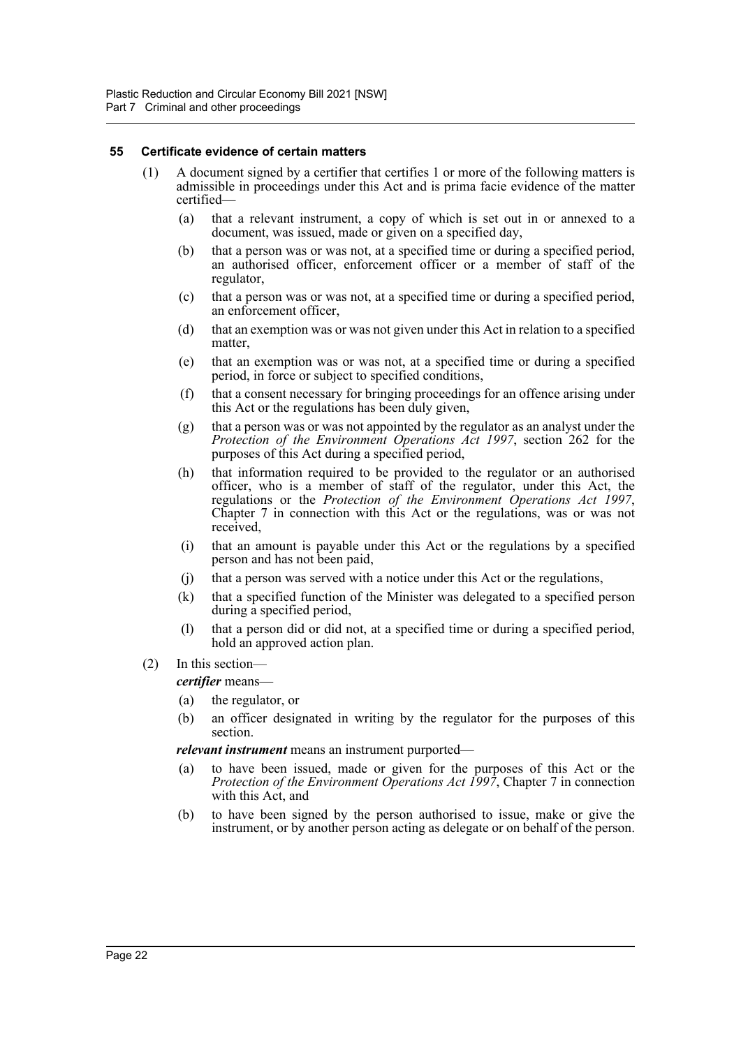#### <span id="page-24-0"></span>**55 Certificate evidence of certain matters**

- (1) A document signed by a certifier that certifies 1 or more of the following matters is admissible in proceedings under this Act and is prima facie evidence of the matter certified—
	- (a) that a relevant instrument, a copy of which is set out in or annexed to a document, was issued, made or given on a specified day,
	- (b) that a person was or was not, at a specified time or during a specified period, an authorised officer, enforcement officer or a member of staff of the regulator,
	- (c) that a person was or was not, at a specified time or during a specified period, an enforcement officer,
	- (d) that an exemption was or was not given under this Act in relation to a specified matter,
	- (e) that an exemption was or was not, at a specified time or during a specified period, in force or subject to specified conditions,
	- (f) that a consent necessary for bringing proceedings for an offence arising under this Act or the regulations has been duly given,
	- (g) that a person was or was not appointed by the regulator as an analyst under the *Protection of the Environment Operations Act 1997*, section 262 for the purposes of this Act during a specified period,
	- (h) that information required to be provided to the regulator or an authorised officer, who is a member of staff of the regulator, under this Act, the regulations or the *Protection of the Environment Operations Act 1997*, Chapter 7 in connection with this Act or the regulations, was or was not received,
	- (i) that an amount is payable under this Act or the regulations by a specified person and has not been paid,
	- (j) that a person was served with a notice under this Act or the regulations,
	- (k) that a specified function of the Minister was delegated to a specified person during a specified period,
	- (l) that a person did or did not, at a specified time or during a specified period, hold an approved action plan.
- (2) In this section—

*certifier* means—

- (a) the regulator, or
- (b) an officer designated in writing by the regulator for the purposes of this section.

*relevant instrument* means an instrument purported—

- (a) to have been issued, made or given for the purposes of this Act or the *Protection of the Environment Operations Act 1997*, Chapter 7 in connection with this Act, and
- (b) to have been signed by the person authorised to issue, make or give the instrument, or by another person acting as delegate or on behalf of the person.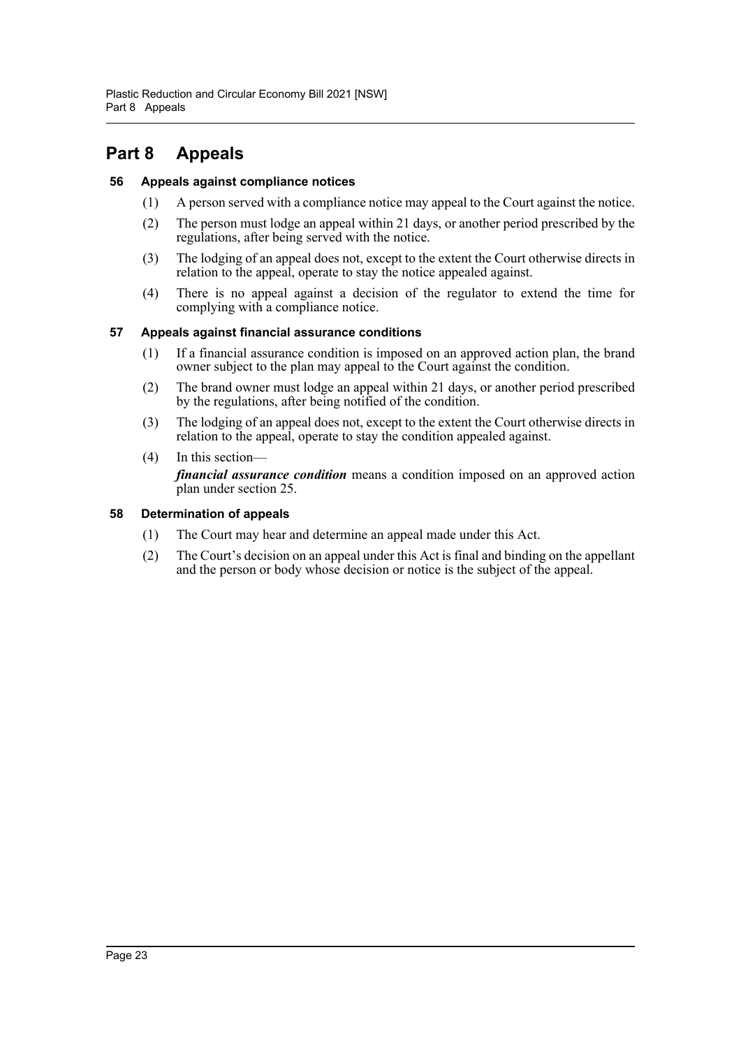## <span id="page-25-0"></span>**Part 8 Appeals**

## <span id="page-25-1"></span>**56 Appeals against compliance notices**

- (1) A person served with a compliance notice may appeal to the Court against the notice.
- (2) The person must lodge an appeal within 21 days, or another period prescribed by the regulations, after being served with the notice.
- (3) The lodging of an appeal does not, except to the extent the Court otherwise directs in relation to the appeal, operate to stay the notice appealed against.
- (4) There is no appeal against a decision of the regulator to extend the time for complying with a compliance notice.

## <span id="page-25-2"></span>**57 Appeals against financial assurance conditions**

- (1) If a financial assurance condition is imposed on an approved action plan, the brand owner subject to the plan may appeal to the Court against the condition.
- (2) The brand owner must lodge an appeal within 21 days, or another period prescribed by the regulations, after being notified of the condition.
- (3) The lodging of an appeal does not, except to the extent the Court otherwise directs in relation to the appeal, operate to stay the condition appealed against.
- (4) In this section *financial assurance condition* means a condition imposed on an approved action plan under section 25.

## <span id="page-25-3"></span>**58 Determination of appeals**

- (1) The Court may hear and determine an appeal made under this Act.
- (2) The Court's decision on an appeal under this Act is final and binding on the appellant and the person or body whose decision or notice is the subject of the appeal.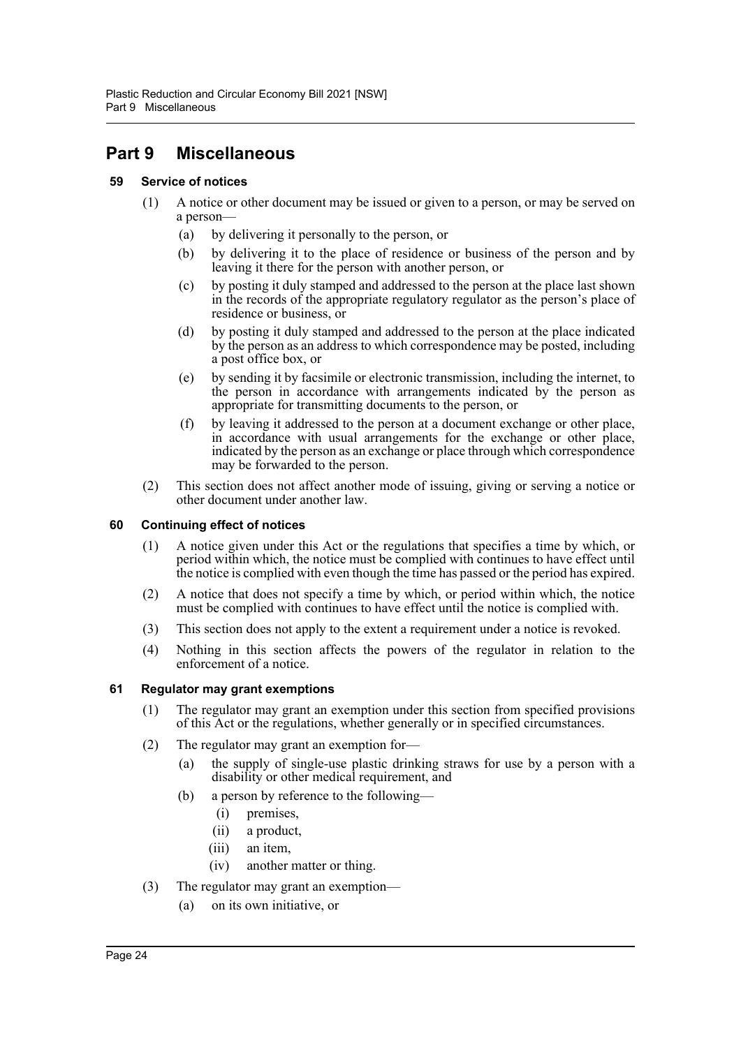## <span id="page-26-0"></span>**Part 9 Miscellaneous**

## <span id="page-26-1"></span>**59 Service of notices**

- (1) A notice or other document may be issued or given to a person, or may be served on a person—
	- (a) by delivering it personally to the person, or
	- (b) by delivering it to the place of residence or business of the person and by leaving it there for the person with another person, or
	- (c) by posting it duly stamped and addressed to the person at the place last shown in the records of the appropriate regulatory regulator as the person's place of residence or business, or
	- (d) by posting it duly stamped and addressed to the person at the place indicated by the person as an address to which correspondence may be posted, including a post office box, or
	- (e) by sending it by facsimile or electronic transmission, including the internet, to the person in accordance with arrangements indicated by the person as appropriate for transmitting documents to the person, or
	- (f) by leaving it addressed to the person at a document exchange or other place, in accordance with usual arrangements for the exchange or other place, indicated by the person as an exchange or place through which correspondence may be forwarded to the person.
- (2) This section does not affect another mode of issuing, giving or serving a notice or other document under another law.

#### <span id="page-26-2"></span>**60 Continuing effect of notices**

- (1) A notice given under this Act or the regulations that specifies a time by which, or period within which, the notice must be complied with continues to have effect until the notice is complied with even though the time has passed or the period has expired.
- (2) A notice that does not specify a time by which, or period within which, the notice must be complied with continues to have effect until the notice is complied with.
- (3) This section does not apply to the extent a requirement under a notice is revoked.
- (4) Nothing in this section affects the powers of the regulator in relation to the enforcement of a notice.

## <span id="page-26-3"></span>**61 Regulator may grant exemptions**

- (1) The regulator may grant an exemption under this section from specified provisions of this Act or the regulations, whether generally or in specified circumstances.
- (2) The regulator may grant an exemption for—
	- (a) the supply of single-use plastic drinking straws for use by a person with a disability or other medical requirement, and
	- (b) a person by reference to the following—
		- (i) premises,
		- (ii) a product,
		- (iii) an item,
		- (iv) another matter or thing.
- (3) The regulator may grant an exemption—
	- (a) on its own initiative, or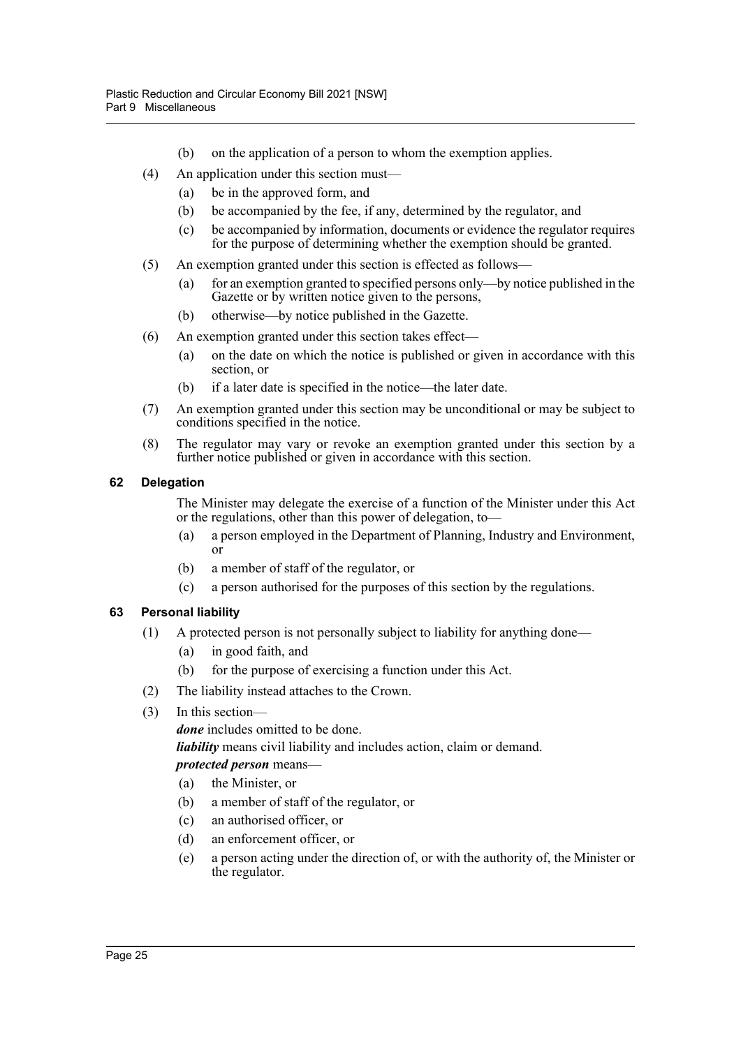- (b) on the application of a person to whom the exemption applies.
- (4) An application under this section must—
	- (a) be in the approved form, and
	- (b) be accompanied by the fee, if any, determined by the regulator, and
	- (c) be accompanied by information, documents or evidence the regulator requires for the purpose of determining whether the exemption should be granted.
- (5) An exemption granted under this section is effected as follows—
	- (a) for an exemption granted to specified persons only—by notice published in the Gazette or by written notice given to the persons,
	- (b) otherwise—by notice published in the Gazette.
- (6) An exemption granted under this section takes effect—
	- (a) on the date on which the notice is published or given in accordance with this section, or
	- (b) if a later date is specified in the notice—the later date.
- (7) An exemption granted under this section may be unconditional or may be subject to conditions specified in the notice.
- (8) The regulator may vary or revoke an exemption granted under this section by a further notice published or given in accordance with this section.

## <span id="page-27-0"></span>**62 Delegation**

The Minister may delegate the exercise of a function of the Minister under this Act or the regulations, other than this power of delegation, to—

- (a) a person employed in the Department of Planning, Industry and Environment, or
- (b) a member of staff of the regulator, or
- (c) a person authorised for the purposes of this section by the regulations.

## <span id="page-27-1"></span>**63 Personal liability**

- (1) A protected person is not personally subject to liability for anything done—
	- (a) in good faith, and
	- (b) for the purpose of exercising a function under this Act.
- (2) The liability instead attaches to the Crown.
- (3) In this section—

*done* includes omitted to be done.

*liability* means civil liability and includes action, claim or demand.

## *protected person* means—

- (a) the Minister, or
- (b) a member of staff of the regulator, or
- (c) an authorised officer, or
- (d) an enforcement officer, or
- (e) a person acting under the direction of, or with the authority of, the Minister or the regulator.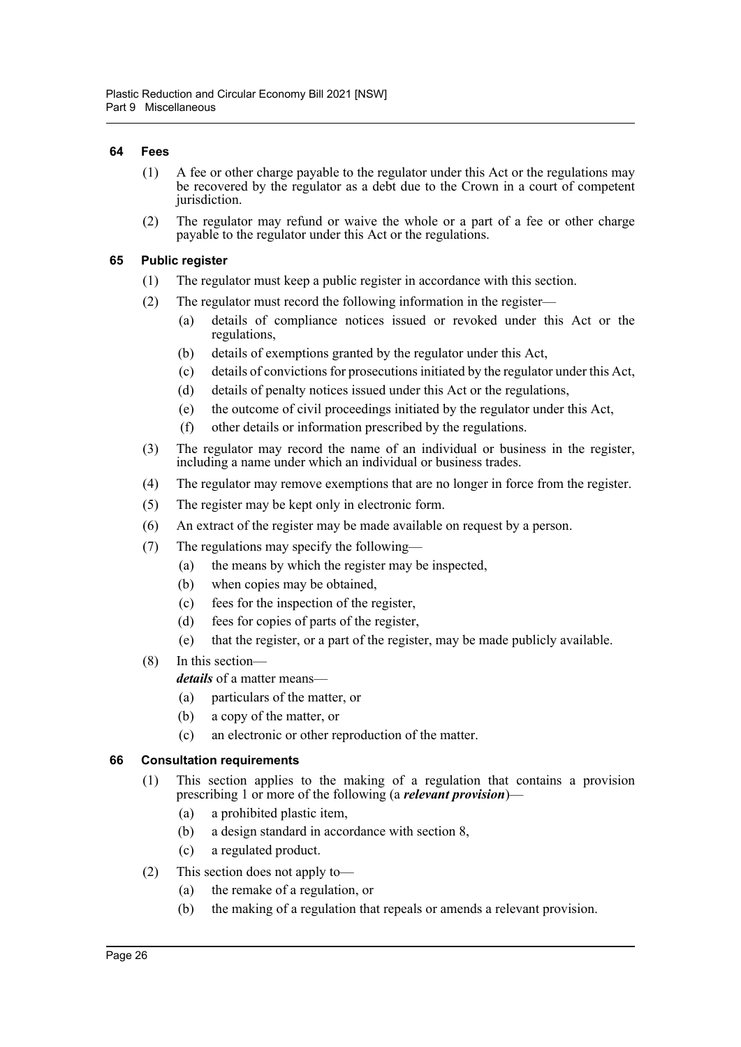#### <span id="page-28-0"></span>**64 Fees**

- (1) A fee or other charge payable to the regulator under this Act or the regulations may be recovered by the regulator as a debt due to the Crown in a court of competent jurisdiction.
- (2) The regulator may refund or waive the whole or a part of a fee or other charge payable to the regulator under this Act or the regulations.

#### <span id="page-28-1"></span>**65 Public register**

- (1) The regulator must keep a public register in accordance with this section.
- (2) The regulator must record the following information in the register—
	- (a) details of compliance notices issued or revoked under this Act or the regulations,
	- (b) details of exemptions granted by the regulator under this Act,
	- (c) details of convictions for prosecutions initiated by the regulator under this Act,
	- (d) details of penalty notices issued under this Act or the regulations,
	- (e) the outcome of civil proceedings initiated by the regulator under this Act,
	- (f) other details or information prescribed by the regulations.
- (3) The regulator may record the name of an individual or business in the register, including a name under which an individual or business trades.
- (4) The regulator may remove exemptions that are no longer in force from the register.
- (5) The register may be kept only in electronic form.
- (6) An extract of the register may be made available on request by a person.
- (7) The regulations may specify the following—
	- (a) the means by which the register may be inspected,
	- (b) when copies may be obtained,
	- (c) fees for the inspection of the register,
	- (d) fees for copies of parts of the register,
	- (e) that the register, or a part of the register, may be made publicly available.
- (8) In this section—

*details* of a matter means—

- (a) particulars of the matter, or
- (b) a copy of the matter, or
- (c) an electronic or other reproduction of the matter.

#### <span id="page-28-2"></span>**66 Consultation requirements**

- (1) This section applies to the making of a regulation that contains a provision prescribing 1 or more of the following (a *relevant provision*)—
	- (a) a prohibited plastic item,
	- (b) a design standard in accordance with section 8,
	- (c) a regulated product.
- (2) This section does not apply to—
	- (a) the remake of a regulation, or
	- (b) the making of a regulation that repeals or amends a relevant provision.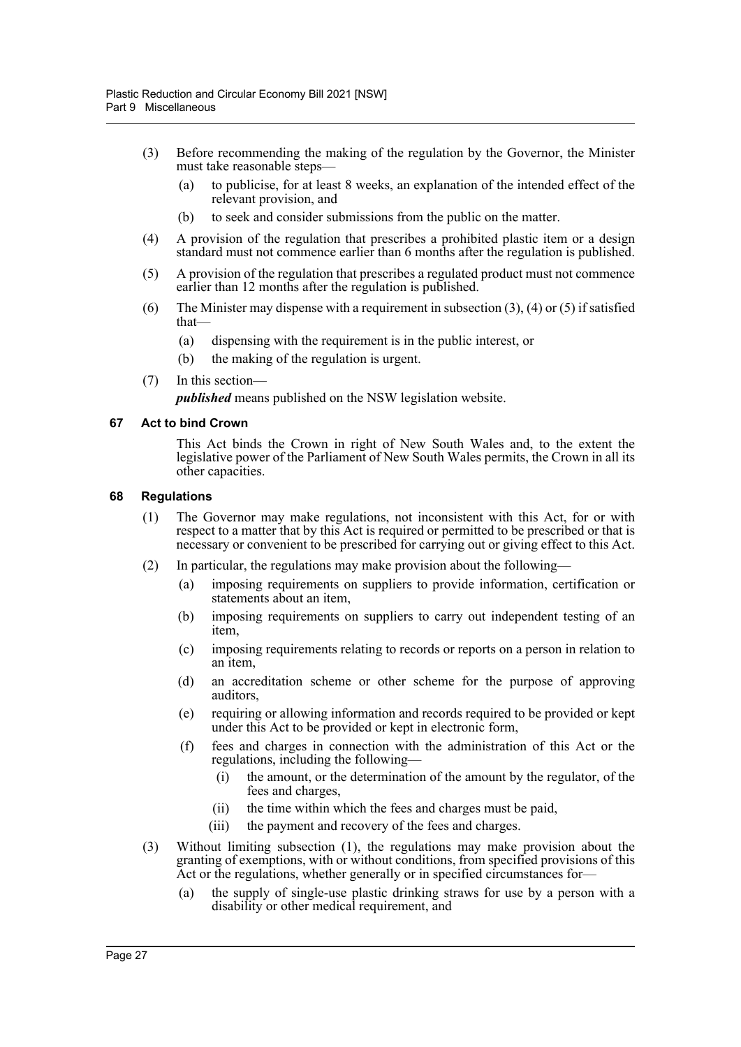- (3) Before recommending the making of the regulation by the Governor, the Minister must take reasonable steps—
	- (a) to publicise, for at least 8 weeks, an explanation of the intended effect of the relevant provision, and
	- (b) to seek and consider submissions from the public on the matter.
- (4) A provision of the regulation that prescribes a prohibited plastic item or a design standard must not commence earlier than 6 months after the regulation is published.
- (5) A provision of the regulation that prescribes a regulated product must not commence earlier than 12 months after the regulation is published.
- (6) The Minister may dispense with a requirement in subsection  $(3)$ ,  $(4)$  or  $(5)$  if satisfied that—
	- (a) dispensing with the requirement is in the public interest, or
	- (b) the making of the regulation is urgent.
- (7) In this section—

*published* means published on the NSW legislation website.

#### <span id="page-29-0"></span>**67 Act to bind Crown**

This Act binds the Crown in right of New South Wales and, to the extent the legislative power of the Parliament of New South Wales permits, the Crown in all its other capacities.

#### <span id="page-29-1"></span>**68 Regulations**

- (1) The Governor may make regulations, not inconsistent with this Act, for or with respect to a matter that by this Act is required or permitted to be prescribed or that is necessary or convenient to be prescribed for carrying out or giving effect to this Act.
- (2) In particular, the regulations may make provision about the following—
	- (a) imposing requirements on suppliers to provide information, certification or statements about an item,
	- (b) imposing requirements on suppliers to carry out independent testing of an item,
	- (c) imposing requirements relating to records or reports on a person in relation to an item,
	- (d) an accreditation scheme or other scheme for the purpose of approving auditors,
	- (e) requiring or allowing information and records required to be provided or kept under this Act to be provided or kept in electronic form,
	- (f) fees and charges in connection with the administration of this Act or the regulations, including the following—
		- (i) the amount, or the determination of the amount by the regulator, of the fees and charges,
		- (ii) the time within which the fees and charges must be paid,
		- (iii) the payment and recovery of the fees and charges.
- (3) Without limiting subsection (1), the regulations may make provision about the granting of exemptions, with or without conditions, from specified provisions of this Act or the regulations, whether generally or in specified circumstances for—
	- (a) the supply of single-use plastic drinking straws for use by a person with a disability or other medical requirement, and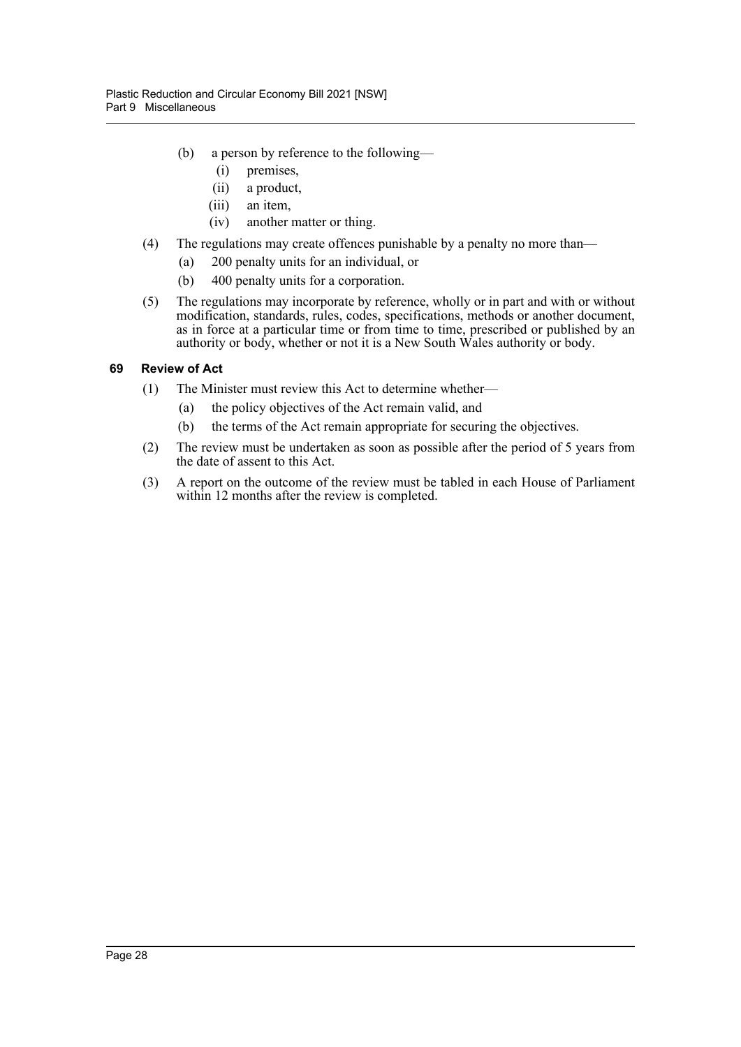- (b) a person by reference to the following—
	- (i) premises,
	- (ii) a product,
	- (iii) an item,
	- (iv) another matter or thing.
- (4) The regulations may create offences punishable by a penalty no more than—
	- (a) 200 penalty units for an individual, or
	- (b) 400 penalty units for a corporation.
- (5) The regulations may incorporate by reference, wholly or in part and with or without modification, standards, rules, codes, specifications, methods or another document, as in force at a particular time or from time to time, prescribed or published by an authority or body, whether or not it is a New South Wales authority or body.

## <span id="page-30-0"></span>**69 Review of Act**

- (1) The Minister must review this Act to determine whether—
	- (a) the policy objectives of the Act remain valid, and
	- (b) the terms of the Act remain appropriate for securing the objectives.
- (2) The review must be undertaken as soon as possible after the period of 5 years from the date of assent to this Act.
- (3) A report on the outcome of the review must be tabled in each House of Parliament within 12 months after the review is completed.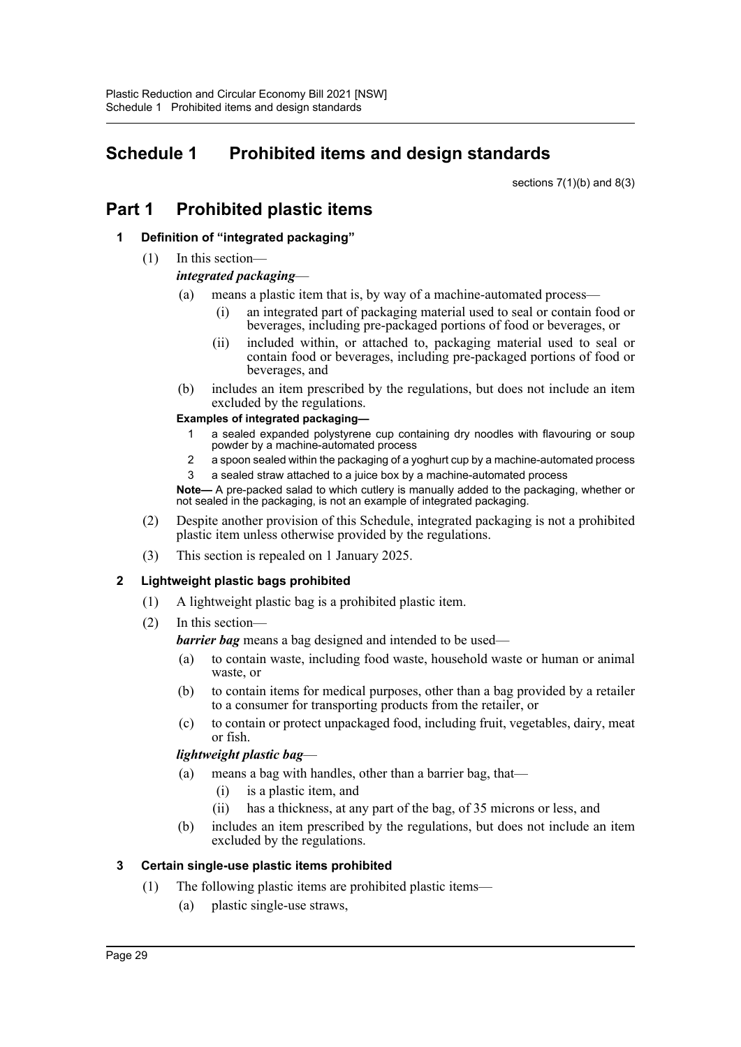## <span id="page-31-0"></span>**Schedule 1 Prohibited items and design standards**

sections  $7(1)(b)$  and  $8(3)$ 

## **Part 1 Prohibited plastic items**

## **1 Definition of "integrated packaging"**

(1) In this section—

## *integrated packaging*—

- (a) means a plastic item that is, by way of a machine-automated process—
	- (i) an integrated part of packaging material used to seal or contain food or beverages, including pre-packaged portions of food or beverages, or
	- (ii) included within, or attached to, packaging material used to seal or contain food or beverages, including pre-packaged portions of food or beverages, and
- (b) includes an item prescribed by the regulations, but does not include an item excluded by the regulations.

## **Examples of integrated packaging—**

- 1 a sealed expanded polystyrene cup containing dry noodles with flavouring or soup powder by a machine-automated process
- 2 a spoon sealed within the packaging of a yoghurt cup by a machine-automated process a sealed straw attached to a juice box by a machine-automated process
- **Note—** A pre-packed salad to which cutlery is manually added to the packaging, whether or not sealed in the packaging, is not an example of integrated packaging.
- (2) Despite another provision of this Schedule, integrated packaging is not a prohibited plastic item unless otherwise provided by the regulations.
- (3) This section is repealed on 1 January 2025.

## **2 Lightweight plastic bags prohibited**

- (1) A lightweight plastic bag is a prohibited plastic item.
- (2) In this section—

*barrier bag* means a bag designed and intended to be used—

- (a) to contain waste, including food waste, household waste or human or animal waste, or
- (b) to contain items for medical purposes, other than a bag provided by a retailer to a consumer for transporting products from the retailer, or
- (c) to contain or protect unpackaged food, including fruit, vegetables, dairy, meat or fish.

## *lightweight plastic bag*—

- (a) means a bag with handles, other than a barrier bag, that—
	- (i) is a plastic item, and
	- (ii) has a thickness, at any part of the bag, of 35 microns or less, and
- (b) includes an item prescribed by the regulations, but does not include an item excluded by the regulations.

## **3 Certain single-use plastic items prohibited**

- (1) The following plastic items are prohibited plastic items—
	- (a) plastic single-use straws,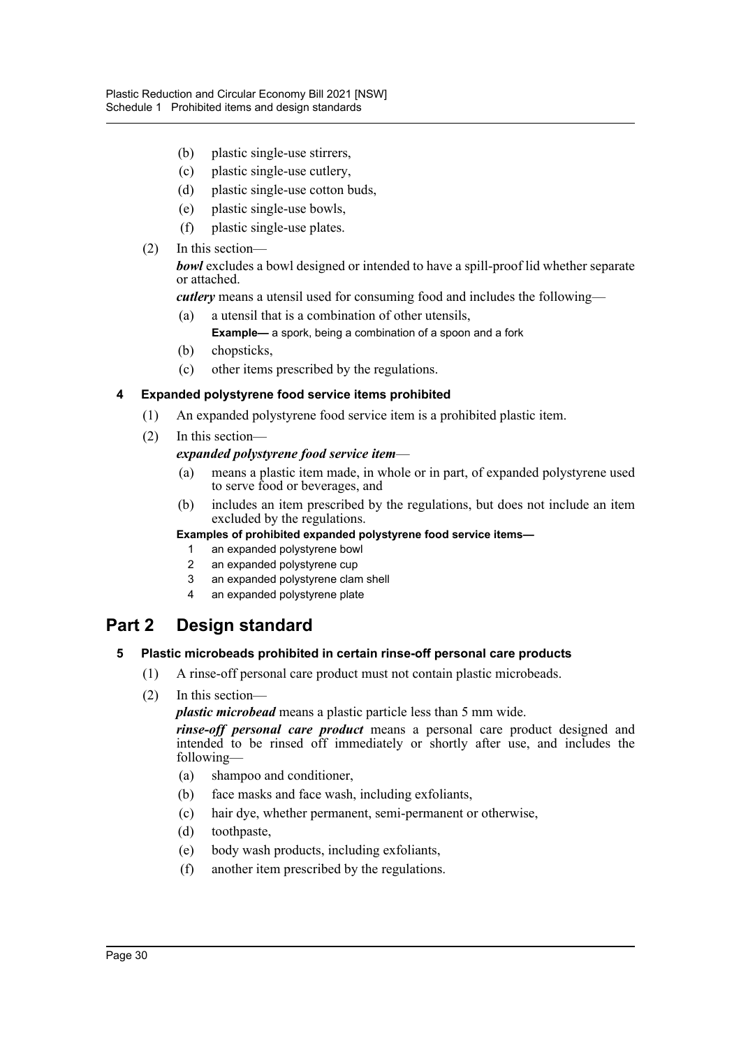- (b) plastic single-use stirrers,
- (c) plastic single-use cutlery,
- (d) plastic single-use cotton buds,
- (e) plastic single-use bowls,
- (f) plastic single-use plates.
- (2) In this section—

*bowl* excludes a bowl designed or intended to have a spill-proof lid whether separate or attached.

*cutlery* means a utensil used for consuming food and includes the following—

(a) a utensil that is a combination of other utensils,

**Example—** a spork, being a combination of a spoon and a fork

- (b) chopsticks,
- (c) other items prescribed by the regulations.

## **4 Expanded polystyrene food service items prohibited**

- (1) An expanded polystyrene food service item is a prohibited plastic item.
- (2) In this section—

## *expanded polystyrene food service item*—

- (a) means a plastic item made, in whole or in part, of expanded polystyrene used to serve food or beverages, and
- (b) includes an item prescribed by the regulations, but does not include an item excluded by the regulations.

#### **Examples of prohibited expanded polystyrene food service items—**

- 1 an expanded polystyrene bowl
- 2 an expanded polystyrene cup
- 3 an expanded polystyrene clam shell
- 4 an expanded polystyrene plate

## **Part 2 Design standard**

## **5 Plastic microbeads prohibited in certain rinse-off personal care products**

- (1) A rinse-off personal care product must not contain plastic microbeads.
- (2) In this section—

*plastic microbead* means a plastic particle less than 5 mm wide.

*rinse-off personal care product* means a personal care product designed and intended to be rinsed off immediately or shortly after use, and includes the following—

- (a) shampoo and conditioner,
- (b) face masks and face wash, including exfoliants,
- (c) hair dye, whether permanent, semi-permanent or otherwise,
- (d) toothpaste,
- (e) body wash products, including exfoliants,
- (f) another item prescribed by the regulations.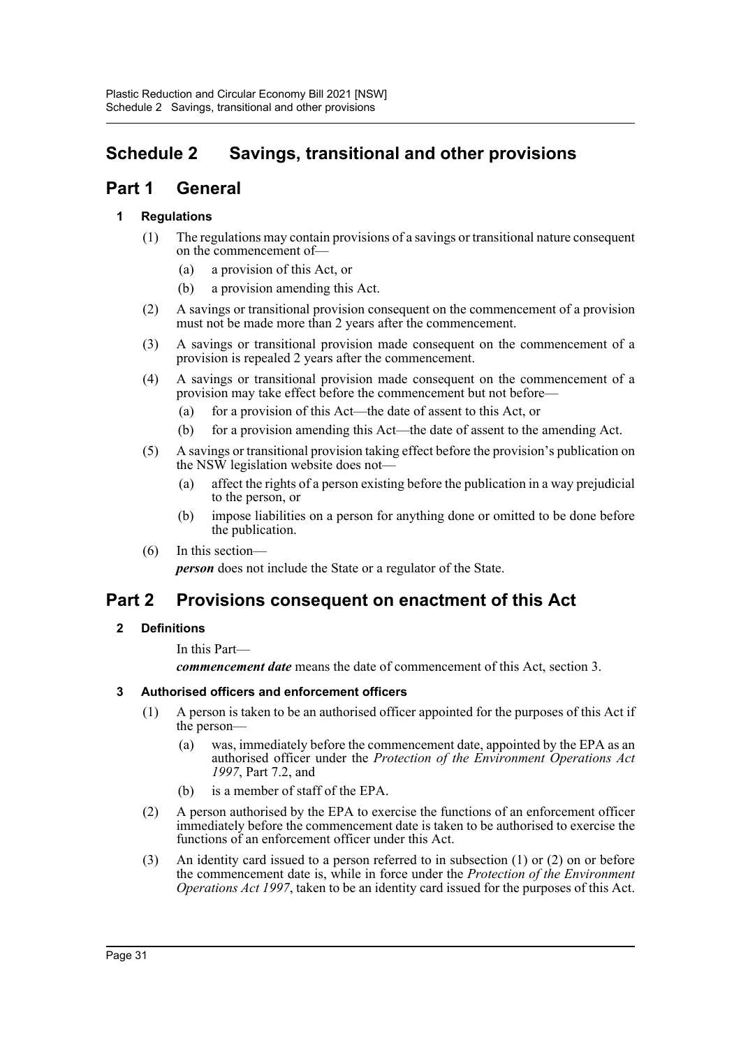## <span id="page-33-0"></span>**Schedule 2 Savings, transitional and other provisions**

## **Part 1 General**

## **1 Regulations**

- (1) The regulations may contain provisions of a savings or transitional nature consequent on the commencement of—
	- (a) a provision of this Act, or
	- (b) a provision amending this Act.
- (2) A savings or transitional provision consequent on the commencement of a provision must not be made more than 2 years after the commencement.
- (3) A savings or transitional provision made consequent on the commencement of a provision is repealed 2 years after the commencement.
- (4) A savings or transitional provision made consequent on the commencement of a provision may take effect before the commencement but not before—
	- (a) for a provision of this Act—the date of assent to this Act, or
	- (b) for a provision amending this Act—the date of assent to the amending Act.
- (5) A savings or transitional provision taking effect before the provision's publication on the NSW legislation website does not—
	- (a) affect the rights of a person existing before the publication in a way prejudicial to the person, or
	- (b) impose liabilities on a person for anything done or omitted to be done before the publication.
- (6) In this section—

*person* does not include the State or a regulator of the State.

## **Part 2 Provisions consequent on enactment of this Act**

## **2 Definitions**

In this Part—

*commencement date* means the date of commencement of this Act, section 3.

#### **3 Authorised officers and enforcement officers**

- (1) A person is taken to be an authorised officer appointed for the purposes of this Act if the person—
	- (a) was, immediately before the commencement date, appointed by the EPA as an authorised officer under the *Protection of the Environment Operations Act 1997*, Part 7.2, and
	- (b) is a member of staff of the EPA.
- (2) A person authorised by the EPA to exercise the functions of an enforcement officer immediately before the commencement date is taken to be authorised to exercise the functions of an enforcement officer under this Act.
- (3) An identity card issued to a person referred to in subsection (1) or (2) on or before the commencement date is, while in force under the *Protection of the Environment Operations Act 1997*, taken to be an identity card issued for the purposes of this Act.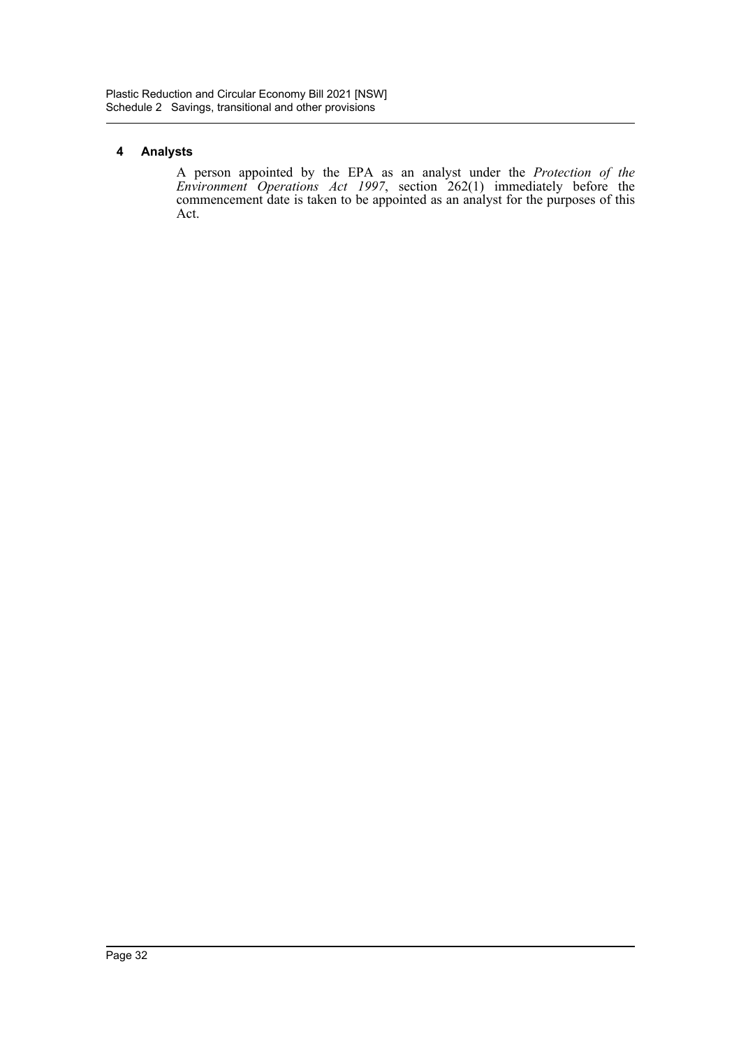## **4 Analysts**

A person appointed by the EPA as an analyst under the *Protection of the Environment Operations Act 1997*, section 262(1) immediately before the commencement date is taken to be appointed as an analyst for the purposes of this Act.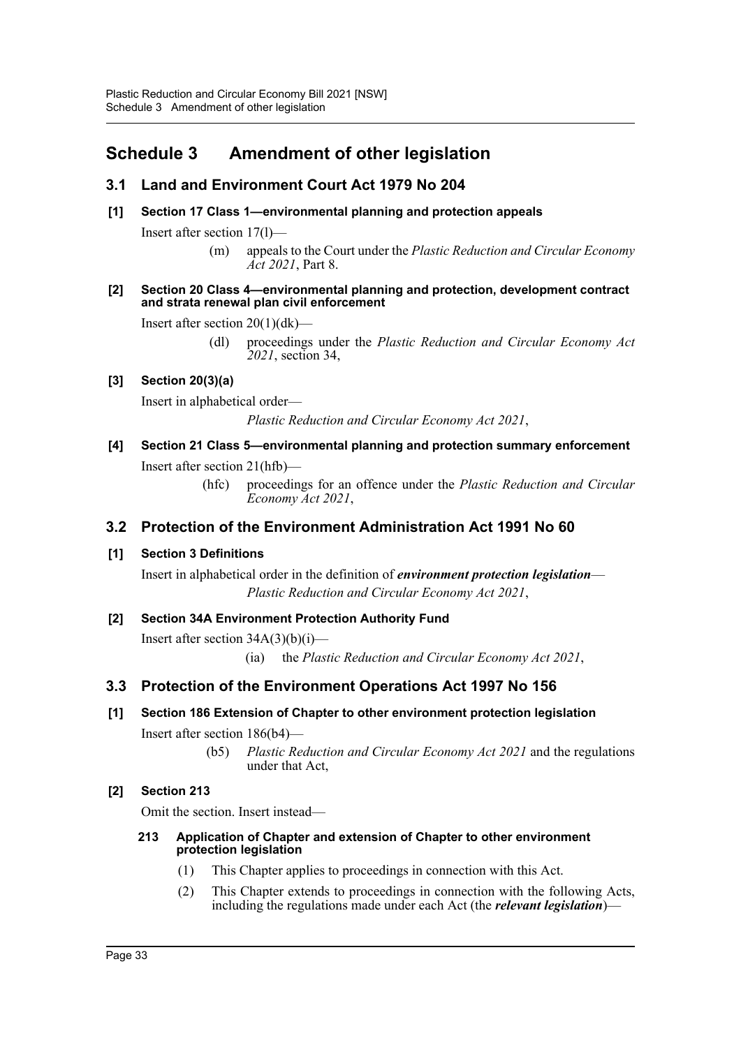## <span id="page-35-0"></span>**Schedule 3 Amendment of other legislation**

## **3.1 Land and Environment Court Act 1979 No 204**

**[1] Section 17 Class 1—environmental planning and protection appeals**

Insert after section 17(l)—

(m) appeals to the Court under the *Plastic Reduction and Circular Economy Act 2021*, Part 8.

#### **[2] Section 20 Class 4—environmental planning and protection, development contract and strata renewal plan civil enforcement**

Insert after section 20(1)(dk)—

(dl) proceedings under the *Plastic Reduction and Circular Economy Act 2021*, section 34,

## **[3] Section 20(3)(a)**

Insert in alphabetical order—

*Plastic Reduction and Circular Economy Act 2021*,

## **[4] Section 21 Class 5—environmental planning and protection summary enforcement** Insert after section 21(hfb)—

(hfc) proceedings for an offence under the *Plastic Reduction and Circular Economy Act 2021*,

## **3.2 Protection of the Environment Administration Act 1991 No 60**

## **[1] Section 3 Definitions**

Insert in alphabetical order in the definition of *environment protection legislation*— *Plastic Reduction and Circular Economy Act 2021*,

## **[2] Section 34A Environment Protection Authority Fund** Insert after section 34A(3)(b)(i)—

(ia) the *Plastic Reduction and Circular Economy Act 2021*,

## **3.3 Protection of the Environment Operations Act 1997 No 156**

## **[1] Section 186 Extension of Chapter to other environment protection legislation**

Insert after section 186(b4)—

(b5) *Plastic Reduction and Circular Economy Act 2021* and the regulations under that Act,

## **[2] Section 213**

Omit the section. Insert instead—

## **213 Application of Chapter and extension of Chapter to other environment protection legislation**

- (1) This Chapter applies to proceedings in connection with this Act.
- (2) This Chapter extends to proceedings in connection with the following Acts, including the regulations made under each Act (the *relevant legislation*)—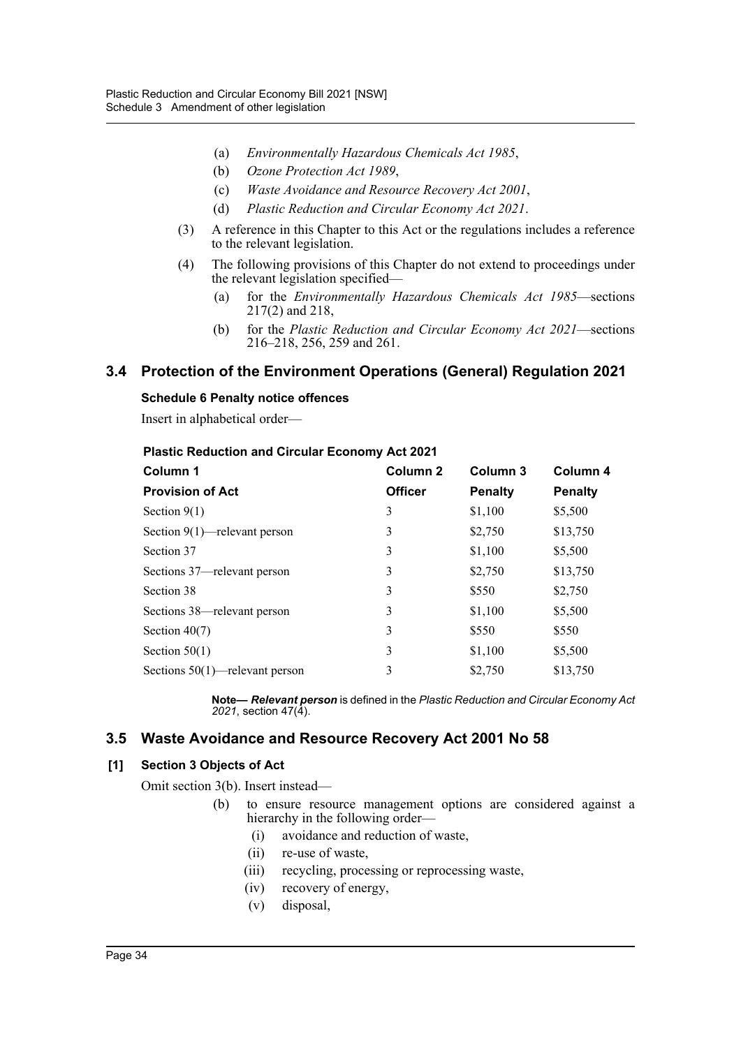- (a) *Environmentally Hazardous Chemicals Act 1985*,
- (b) *Ozone Protection Act 1989*,
- (c) *Waste Avoidance and Resource Recovery Act 2001*,
- (d) *Plastic Reduction and Circular Economy Act 2021*.
- (3) A reference in this Chapter to this Act or the regulations includes a reference to the relevant legislation.
- (4) The following provisions of this Chapter do not extend to proceedings under the relevant legislation specified—
	- (a) for the *Environmentally Hazardous Chemicals Act 1985*—sections 217(2) and 218,
	- (b) for the *Plastic Reduction and Circular Economy Act 2021*—sections 216–218, 256, 259 and 261.

## **3.4 Protection of the Environment Operations (General) Regulation 2021**

#### **Schedule 6 Penalty notice offences**

Insert in alphabetical order—

#### **Plastic Reduction and Circular Economy Act 2021**

| Column 1                          | Column <sub>2</sub> | Column 3       | Column 4<br><b>Penalty</b> |  |
|-----------------------------------|---------------------|----------------|----------------------------|--|
| <b>Provision of Act</b>           | <b>Officer</b>      | <b>Penalty</b> |                            |  |
| Section $9(1)$                    | 3                   | \$1,100        | \$5,500                    |  |
| Section $9(1)$ —relevant person   | 3                   | \$2,750        | \$13,750                   |  |
| Section 37                        | 3                   | \$1,100        | \$5,500                    |  |
| Sections 37—relevant person       | 3                   | \$2,750        | \$13,750                   |  |
| Section 38                        | 3                   | \$550          | \$2,750                    |  |
| Sections 38—relevant person       | 3                   | \$1,100        | \$5,500                    |  |
| Section $40(7)$                   | 3                   | \$550          | \$550                      |  |
| Section $50(1)$                   | 3                   | \$1,100        | \$5,500                    |  |
| Sections $50(1)$ —relevant person | 3                   | \$2,750        | \$13,750                   |  |

**Note—** *Relevant person* is defined in the *Plastic Reduction and Circular Economy Act 2021*, section 47(4).

## **3.5 Waste Avoidance and Resource Recovery Act 2001 No 58**

#### **[1] Section 3 Objects of Act**

Omit section 3(b). Insert instead—

- (b) to ensure resource management options are considered against a hierarchy in the following order—
	- (i) avoidance and reduction of waste,
	- (ii) re-use of waste,
	- (iii) recycling, processing or reprocessing waste,
	- (iv) recovery of energy,
	- (v) disposal,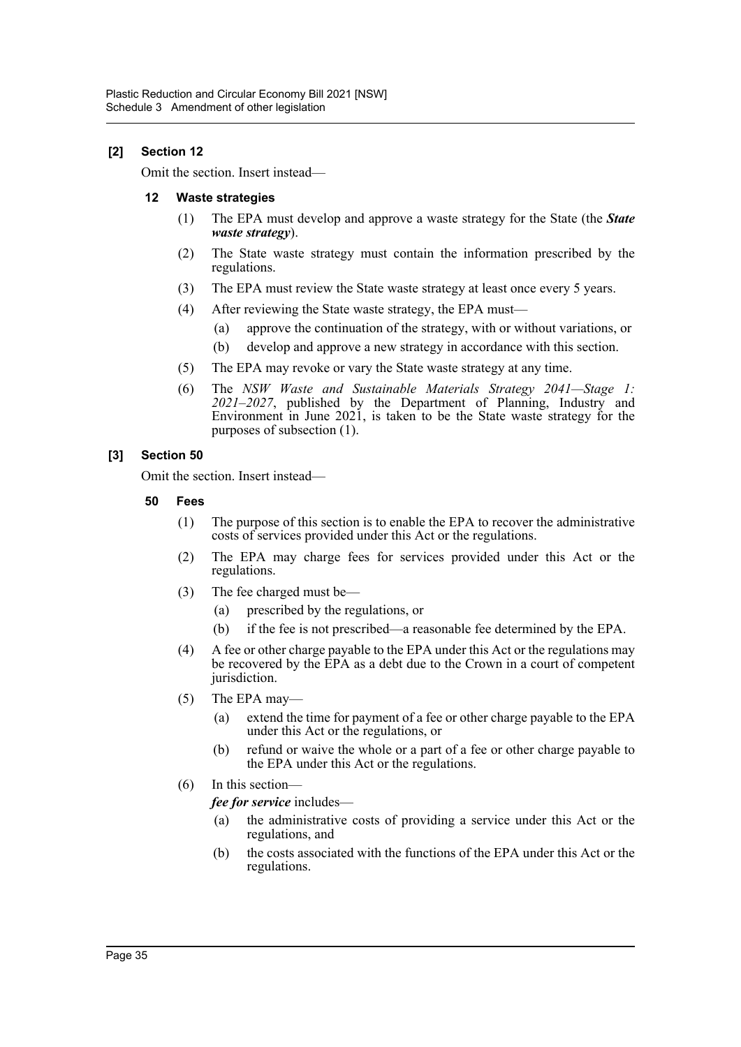## **[2] Section 12**

Omit the section. Insert instead—

#### **12 Waste strategies**

- (1) The EPA must develop and approve a waste strategy for the State (the *State waste strategy*).
- (2) The State waste strategy must contain the information prescribed by the regulations.
- (3) The EPA must review the State waste strategy at least once every 5 years.
- (4) After reviewing the State waste strategy, the EPA must—
	- (a) approve the continuation of the strategy, with or without variations, or
	- (b) develop and approve a new strategy in accordance with this section.
- (5) The EPA may revoke or vary the State waste strategy at any time.
- (6) The *NSW Waste and Sustainable Materials Strategy 2041—Stage 1: 2021–2027*, published by the Department of Planning, Industry and Environment in June 2021, is taken to be the State waste strategy for the purposes of subsection (1).

#### **[3] Section 50**

Omit the section. Insert instead—

- **50 Fees**
	- (1) The purpose of this section is to enable the EPA to recover the administrative costs of services provided under this Act or the regulations.
	- (2) The EPA may charge fees for services provided under this Act or the regulations.
	- (3) The fee charged must be—
		- (a) prescribed by the regulations, or
		- (b) if the fee is not prescribed—a reasonable fee determined by the EPA.
	- (4) A fee or other charge payable to the EPA under this Act or the regulations may be recovered by the EPA as a debt due to the Crown in a court of competent jurisdiction.
	- (5) The EPA may—
		- (a) extend the time for payment of a fee or other charge payable to the EPA under this Act or the regulations, or
		- (b) refund or waive the whole or a part of a fee or other charge payable to the EPA under this Act or the regulations.
	- (6) In this section—

*fee for service* includes—

- (a) the administrative costs of providing a service under this Act or the regulations, and
- (b) the costs associated with the functions of the EPA under this Act or the regulations.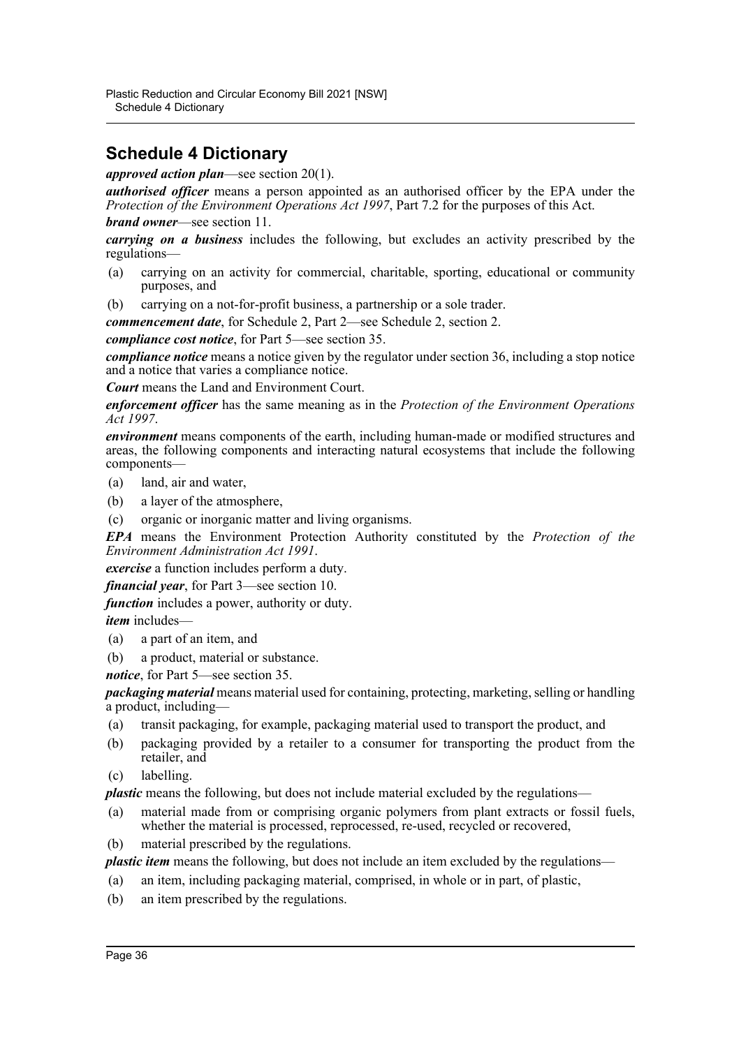## <span id="page-38-0"></span>**Schedule 4 Dictionary**

*approved action plan*—see section 20(1).

*authorised officer* means a person appointed as an authorised officer by the EPA under the *Protection of the Environment Operations Act 1997*, Part 7.2 for the purposes of this Act. *brand owner*—see section 11.

*carrying on a business* includes the following, but excludes an activity prescribed by the regulations—

- (a) carrying on an activity for commercial, charitable, sporting, educational or community purposes, and
- (b) carrying on a not-for-profit business, a partnership or a sole trader.

*commencement date*, for Schedule 2, Part 2—see Schedule 2, section 2.

*compliance cost notice*, for Part 5—see section 35.

*compliance notice* means a notice given by the regulator under section 36, including a stop notice and a notice that varies a compliance notice.

*Court* means the Land and Environment Court.

*enforcement officer* has the same meaning as in the *Protection of the Environment Operations Act 1997*.

*environment* means components of the earth, including human-made or modified structures and areas, the following components and interacting natural ecosystems that include the following components—

- (a) land, air and water,
- (b) a layer of the atmosphere,
- (c) organic or inorganic matter and living organisms.

*EPA* means the Environment Protection Authority constituted by the *Protection of the Environment Administration Act 1991*.

*exercise* a function includes perform a duty.

*financial year*, for Part 3—see section 10.

*function* includes a power, authority or duty.

*item* includes—

- (a) a part of an item, and
- (b) a product, material or substance.

*notice*, for Part 5—see section 35.

*packaging material* means material used for containing, protecting, marketing, selling or handling a product, including—

- (a) transit packaging, for example, packaging material used to transport the product, and
- (b) packaging provided by a retailer to a consumer for transporting the product from the retailer, and
- (c) labelling.

*plastic* means the following, but does not include material excluded by the regulations—

- (a) material made from or comprising organic polymers from plant extracts or fossil fuels, whether the material is processed, reprocessed, re-used, recycled or recovered,
- (b) material prescribed by the regulations.

*plastic item* means the following, but does not include an item excluded by the regulations—

- (a) an item, including packaging material, comprised, in whole or in part, of plastic,
- (b) an item prescribed by the regulations.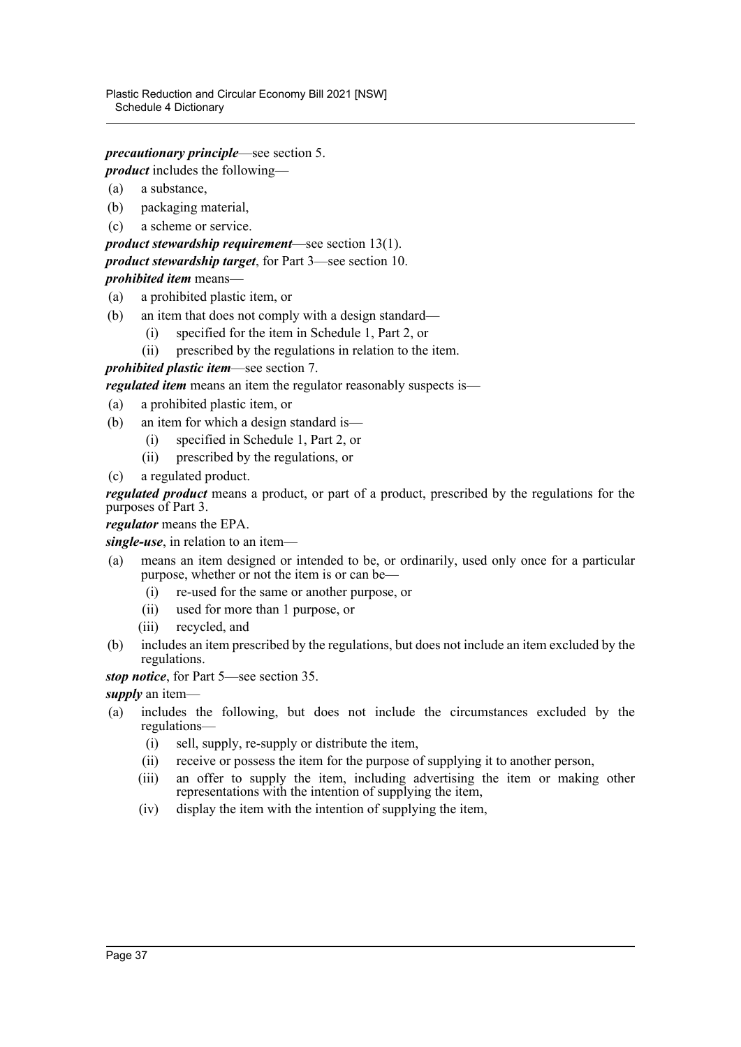Plastic Reduction and Circular Economy Bill 2021 [NSW] Schedule 4 Dictionary

*precautionary principle*—see section 5.

*product* includes the following—

- (a) a substance,
- (b) packaging material,
- (c) a scheme or service.
- *product stewardship requirement*—see section 13(1). *product stewardship target*, for Part 3—see section 10. *prohibited item* means—
- (a) a prohibited plastic item, or
- (b) an item that does not comply with a design standard—
	- (i) specified for the item in Schedule 1, Part 2, or
	- (ii) prescribed by the regulations in relation to the item.

*prohibited plastic item*—see section 7.

*regulated item* means an item the regulator reasonably suspects is—

- (a) a prohibited plastic item, or
- (b) an item for which a design standard is—
	- (i) specified in Schedule 1, Part 2, or
	- (ii) prescribed by the regulations, or
- (c) a regulated product.

*regulated product* means a product, or part of a product, prescribed by the regulations for the purposes of Part 3.

*regulator* means the EPA.

*single-use*, in relation to an item—

- (a) means an item designed or intended to be, or ordinarily, used only once for a particular purpose, whether or not the item is or can be—
	- (i) re-used for the same or another purpose, or
	- (ii) used for more than 1 purpose, or
	- (iii) recycled, and
- (b) includes an item prescribed by the regulations, but does not include an item excluded by the regulations.
- *stop notice*, for Part 5—see section 35.

*supply* an item—

- (a) includes the following, but does not include the circumstances excluded by the regulations—
	- (i) sell, supply, re-supply or distribute the item,
	- (ii) receive or possess the item for the purpose of supplying it to another person,
	- (iii) an offer to supply the item, including advertising the item or making other representations with the intention of supplying the item,
	- (iv) display the item with the intention of supplying the item,